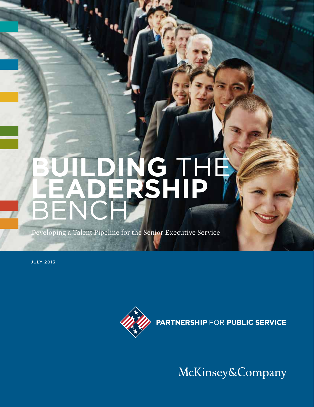# **BUILDING THE leadership**  bench

Developing a Talent Pipeline for the Senior Executive Service

July 2013



**PARTNERSHIP FOR PUBLIC SERVICE** 

McKinsey&Company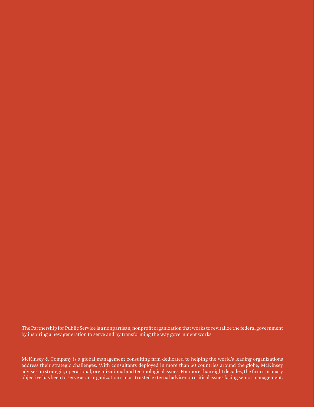The Partnership for Public Service is a nonpartisan, nonprofit organization that works to revitalize the federal government by inspiring a new generation to serve and by transforming the way government works.

McKinsey & Company is a global management consulting firm dedicated to helping the world's leading organizations address their strategic challenges. With consultants deployed in more than 50 countries around the globe, McKinsey advises on strategic, operational, organizational and technological issues. For more than eight decades, the firm's primary objective has been to serve as an organization's most trusted external adviser on critical issues facing senior management.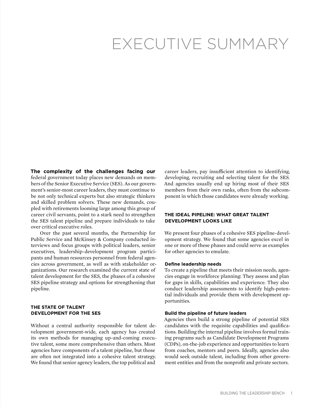# EXECUTIVE SUMMARY

**The complexity of the challenges facing our** federal government today places new demands on members of the Senior Executive Service (SES). As our government's senior-most career leaders, they must continue to be not only technical experts but also strategic thinkers and skilled problem solvers. These new demands, coupled with retirements looming large among this group of career civil servants, point to a stark need to strengthen the SES talent pipeline and prepare individuals to take over critical executive roles.

Over the past several months, the Partnership for Public Service and McKinsey & Company conducted interviews and focus groups with political leaders, senior executives, leadership-development program participants and human resources personnel from federal agencies across government, as well as with stakeholder organizations. Our research examined the current state of talent development for the SES, the phases of a cohesive SES pipeline strategy and options for strengthening that pipeline.

#### **The state of talent development FOR THE SES**

Without a central authority responsible for talent development government-wide, each agency has created its own methods for managing up-and-coming executive talent, some more comprehensive than others. Most agencies have components of a talent pipeline, but those are often not integrated into a cohesive talent strategy. We found that senior agency leaders, the top political and

career leaders, pay insufficient attention to identifying, developing, recruiting and selecting talent for the SES. And agencies usually end up hiring most of their SES members from their own ranks, often from the subcomponent in which those candidates were already working.

#### **The ideal pipeline: What great talent development looks like**

We present four phases of a cohesive SES pipeline-development strategy. We found that some agencies excel in one or more of these phases and could serve as examples for other agencies to emulate.

#### **Define leadership needs**

To create a pipeline that meets their mission needs, agencies engage in workforce planning: They assess and plan for gaps in skills, capabilities and experience. They also conduct leadership assessments to identify high-potential individuals and provide them with development opportunities.

#### **Build the pipeline of future leaders**

Agencies then build a strong pipeline of potential SES candidates with the requisite capabilities and qualifications. Building the internal pipeline involves formal training programs such as Candidate Development Programs (CDPs), on-the-job experience and opportunities to learn from coaches, mentors and peers. Ideally, agencies also would seek outside talent, including from other government entities and from the nonprofit and private sectors.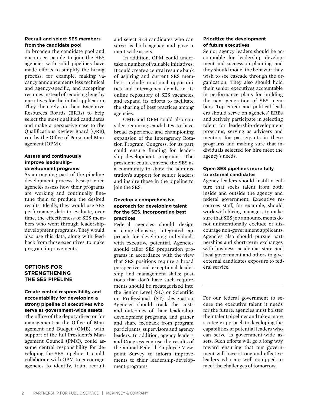#### **Recruit and select SES members from the candidate pool**

To broaden the candidate pool and encourage people to join the SES, agencies with solid pipelines have made efforts to simplify the hiring process: for example, making vacancy announcements less technical and agency-specific, and accepting resumes instead of requiring lengthy narratives for the initial application. They then rely on their Executive Resources Boards (ERBs) to help select the most qualified candidates and make a persuasive case to the Qualifications Review Board (QRB), run by the Office of Personnel Management (OPM).

#### **Assess and continuously improve leadershipdevelopment programs**

As an ongoing part of the pipelinedevelopment process, best-practice agencies assess how their programs are working and continually finetune them to produce the desired results. Ideally, they would use SES performance data to evaluate, over time, the effectiveness of SES members who went through leadershipdevelopment programs. They would also use this data, along with feedback from those executives, to make program improvements.

#### **Options for Strengthening the SES pipeline**

#### **Create central responsibility and accountability for developing a strong pipeline of executives who serve as government-wide assets**

The office of the deputy director for management at the Office of Management and Budget (OMB), with support of the full President's Management Council (PMC), could assume central responsibility for developing the SES pipeline. It could collaborate with OPM to encourage agencies to identify, train, recruit

and select SES candidates who can serve as both agency and government-wide assets.

In addition, OPM could undertake a number of valuable initiatives: It could create a central resume bank of aspiring and current SES members, include rotational opportunities and interagency details in its online repository of SES vacancies, and expand its efforts to facilitate the sharing of best practices among agencies.

OMB and OPM could also consider requiring candidates to have broad experience and championing expansion of the Interagency Rotation Program. Congress, for its part, could ensure funding for leadership-development programs. The president could convene the SES as a community to show the administration's support for senior leaders and inspire those in the pipeline to join the SES.

#### **Develop a comprehensive approach for developing talent for the SES, incorporating best practices**

Federal agencies should design a comprehensive, integrated approach for developing individuals with executive potential. Agencies should tailor SES preparation programs in accordance with the view that SES positions require a broad perspective and exceptional leadership and management skills; positions that don't have such requirements should be recategorized into the Senior Level (SL) or Scientific or Professional (ST) designation. Agencies should track the costs and outcomes of their leadershipdevelopment programs, and gather and share feedback from program participants, supervisors and agency leaders. In addition, agency leaders and Congress can use the results of the annual Federal Employee Viewpoint Survey to inform improvements to their leadership-development programs.

#### **Prioritize the development of future executives**

Senior agency leaders should be accountable for leadership development and succession planning, and they should model the behavior they wish to see cascade through the organization. They also should hold their senior executives accountable in performance plans for building the next generation of SES members. Top career and political leaders should serve on agencies' ERBs and actively participate in selecting talent for leadership-development programs, serving as advisers and mentors for participants in these programs and making sure that individuals selected for hire meet the agency's needs.

#### **Open SES pipelines more fully to external candidates**

Agency leaders should instill a culture that seeks talent from both inside and outside the agency and federal government. Executive resources staff, for example, should work with hiring managers to make sure that SES job announcements do not unintentionally exclude or discourage non-government applicants. Agencies also should pursue partnerships and short-term exchanges with business, academia, state and local government and others to give external candidates exposure to federal service.

For our federal government to secure the executive talent it needs for the future, agencies must bolster their talent pipelines and take a more strategic approach to developing the capabilities of potential leaders who can serve as government-wide assets. Such efforts will go a long way toward ensuring that our government will have strong and effective leaders who are well equipped to meet the challenges of tomorrow.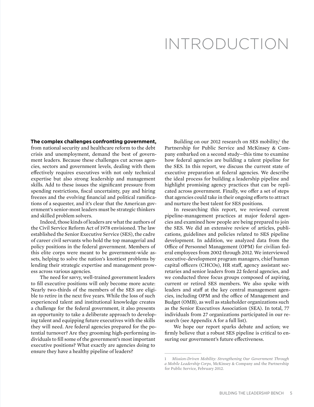# Introduction

#### **The complex challenges confronting government,**

from national security and healthcare reform to the debt crisis and unemployment, demand the best of government leaders. Because these challenges cut across agencies, sectors and government levels, dealing with them effectively requires executives with not only technical expertise but also strong leadership and management skills. Add to these issues the significant pressure from spending restrictions, fiscal uncertainty, pay and hiring freezes and the evolving financial and political ramifications of a sequester, and it's clear that the American government's senior-most leaders must be strategic thinkers and skilled problem solvers.

Indeed, those kinds of leaders are what the authors of the Civil Service Reform Act of 1978 envisioned. The law established the Senior Executive Service (SES), the cadre of career civil servants who hold the top managerial and policy positions in the federal government. Members of this elite corps were meant to be government-wide assets, helping to solve the nation's knottiest problems by lending their strategic expertise and management prowess across various agencies.

The need for savvy, well-trained government leaders to fill executive positions will only become more acute: Nearly two-thirds of the members of the SES are eligible to retire in the next five years. While the loss of such experienced talent and institutional knowledge creates a challenge for the federal government, it also presents an opportunity to take a deliberate approach to developing talent and equipping future executives with the skills they will need. Are federal agencies prepared for the potential turnover? Are they grooming high-performing individuals to fill some of the government's most important executive positions? What exactly are agencies doing to ensure they have a healthy pipeline of leaders?

Building on our 2012 research on SES mobility,<sup>1</sup> the Partnership for Public Service and McKinsey & Company embarked on a second study—this time to examine how federal agencies are building a talent pipeline for the SES. In this report, we discuss the current state of executive preparation at federal agencies. We describe the ideal process for building a leadership pipeline and highlight promising agency practices that can be replicated across government. Finally, we offer a set of steps that agencies could take in their ongoing efforts to attract and nurture the best talent for SES positions.

In researching this report, we reviewed current pipeline-management practices at major federal agencies and examined how people are being prepared to join the SES. We did an extensive review of articles, publications, guidelines and policies related to SES pipeline development. In addition, we analyzed data from the Office of Personnel Management (OPM) for civilian federal employees from 2002 through 2012. We interviewed executive-development program managers, chief human capital officers (CHCOs), HR staff, agency assistant secretaries and senior leaders from 22 federal agencies, and we conducted three focus groups composed of aspiring, current or retired SES members. We also spoke with leaders and staff at the key central management agencies, including OPM and the office of Management and Budget (OMB), as well as stakeholder organizations such as the Senior Executives Association (SEA). In total, 77 individuals from 27 organizations participated in our research (see Appendix A for a full list).

We hope our report sparks debate and action; we firmly believe that a robust SES pipeline is critical to ensuring our government's future effectiveness.

<sup>1</sup> *Mission-Driven Mobility: Strengthening Our Government Through a Mobile Leadership Corps*, McKinsey & Company and the Partnership for Public Service, February 2012.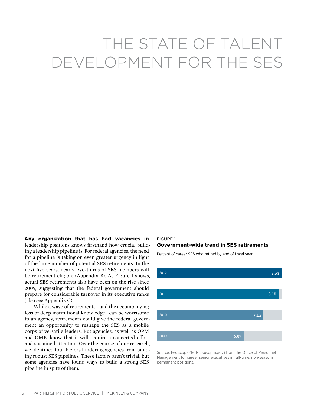# The state of talent development for the SES

**Any organization that has had vacancies in** leadership positions knows firsthand how crucial building a leadership pipeline is. For federal agencies, the need for a pipeline is taking on even greater urgency in light of the large number of potential SES retirements. In the next five years, nearly two-thirds of SES members will be retirement eligible (Appendix B). As Figure 1 shows, actual SES retirements also have been on the rise since 2009, suggesting that the federal government should prepare for considerable turnover in its executive ranks (also see Appendix C).

While a wave of retirements—and the accompanying loss of deep institutional knowledge—can be worrisome to an agency, retirements could give the federal government an opportunity to reshape the SES as a mobile corps of versatile leaders. But agencies, as well as OPM and OMB, know that it will require a concerted effort and sustained attention. Over the course of our research, we identified four factors hindering agencies from building robust SES pipelines. These factors aren't trivial, but some agencies have found ways to build a strong SES pipeline in spite of them.

## Figure 1

#### **Government-wide trend in SES retirements**

Percent of career SES who retired by end of fiscal year



Source: FedScope (fedscope.opm.gov) from the Office of Personnel Management for career senior executives in full-time, non-seasonal, permanent positions.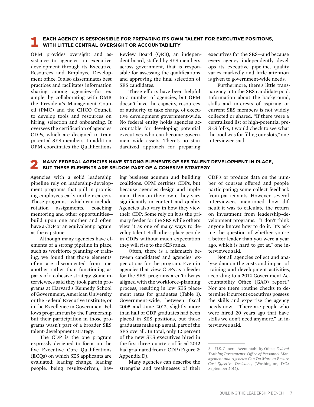#### 1 **Each agency is responsible for preparing its own talent for executive positions, with little central oversight or accountability**

OPM provides oversight and assistance to agencies on executive development through its Executive Resources and Employee Development office. It also disseminates best practices and facilitates information sharing among agencies—for example, by collaborating with OMB, the President's Management Council (PMC) and the CHCO Council to develop tools and resources on hiring, selection and onboarding. It oversees the certification of agencies' CDPs, which are designed to train potential SES members. In addition, OPM coordinates the Qualifications

Review Board (QRB), an independent board, staffed by SES members across government, that is responsible for assessing the qualifications and approving the final selection of SES candidates.

These efforts have been helpful to a number of agencies, but OPM doesn't have the capacity, resources or authority to take charge of executive development government-wide. No federal entity holds agencies accountable for developing potential executives who can become government-wide assets. There's no standardized approach for preparing

executives for the SES—and because every agency independently develops its executive pipeline, quality varies markedly and little attention is given to government-wide needs.

Furthermore, there's little transparency into the SES candidate pool. Information about the background, skills and interests of aspiring or current SES members is not widely collected or shared. "If there were a centralized list of high-potential pre-SES folks, I would check to see what the pool was for filling our slots," one interviewee said.

#### 2 **Many federal agencies have strong elements of SES talent development in place, but these elements are seldom part of a cohesive strategy**

Agencies with a solid leadership pipeline rely on leadership-development programs that pull in promising employees early in their careers. These programs—which can include rotation assignments, coaching, mentoring and other opportunities build upon one another and often have a CDP or an equivalent program as the capstone.

Although many agencies have elements of a strong pipeline in place, such as workforce planning or training, we found that those elements often are disconnected from one another rather than functioning as parts of a cohesive strategy. Some interviewees said they took part in programs at Harvard's Kennedy School of Government, American University or the Federal Executive Institute, or in the Excellence in Government Fellows program run by the Partnership, but their participation in those programs wasn't part of a broader SES talent-development strategy.

The CDP is the one program expressly designed to focus on the five Executive Core Qualifications (ECQs) on which SES applicants are evaluated: leading change, leading people, being results-driven, hav-

ing business acumen and building coalitions. OPM certifies CDPs, but because agencies design and implement them on their own, they vary significantly in content and quality. Agencies also vary in how they view their CDP: Some rely on it as the primary feeder for the SES while others view it as one of many ways to develop talent. Still others place people in CDPs without much expectation they will rise to the SES ranks.

Often, there is a mismatch between candidates' and agencies' expectations for the program. Even in agencies that view CDPs as a feeder for the SES, programs aren't always aligned with the workforce-planning process, resulting in low SES placement rates for graduates (Table 1). Government-wide, between fiscal 2005 and June 2012, slightly more than half of CDP graduates had been placed in SES positions, but those graduates make up a small part of the SES overall. In total, only 12 percent of the new SES executives hired in the first three-quarters of fiscal 2012 had graduated from a CDP (Figure 2; Appendix D).

Many agencies can describe the strengths and weaknesses of their CDP's or produce data on the number of courses offered and people participating; some collect feedback from participants. However, several interviewees mentioned how difficult it was to calculate the return on investment from leadership-development programs. "I don't think anyone knows how to do it. It's asking the question of whether you're a better leader than you were a year ago, which is hard to get at," one interviewee said.

Not all agencies collect and analyze data on the costs and impact of training and development activities, according to a 2012 Government Accountability Office (GAO) report.2 Nor are there routine checks to determine if current executives possess the skills and expertise the agency needs now. "There are people who were hired 20 years ago that have skills we don't need anymore," an interviewee said.

<sup>2</sup> U.S. General Accountability Office, *Federal Training Investments: Office of Personnel Management and Agencies Can Do More to Ensure Cost-Effective Decisions, (*Washington, D.C.: September 2012).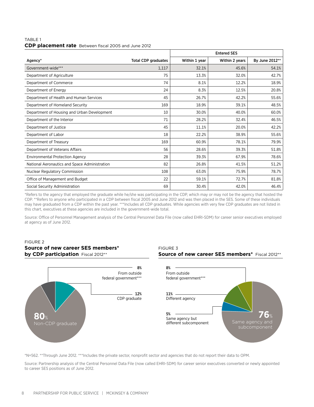#### Table 1 **CDP placement rate** Between fiscal 2005 and June 2012

|                                               |                            | <b>Entered SES</b> |                |                |  |
|-----------------------------------------------|----------------------------|--------------------|----------------|----------------|--|
| Agency*                                       | <b>Total CDP graduates</b> | Within 1 year      | Within 2 years | By June 2012** |  |
| Government-wide***                            | 1,117                      | 32.1%              | 45.6%          | 54.1%          |  |
| Department of Agriculture                     | 75                         | 13.3%              | 32.0%          | 42.7%          |  |
| Department of Commerce                        | 74                         | 8.1%               | 12.2%          | 18.9%          |  |
| Department of Energy                          | 24                         | 8.3%               | 12.5%          | 20.8%          |  |
| Department of Health and Human Services       | 45                         | 26.7%              | 42.2%          | 55.6%          |  |
| Department of Homeland Security               | 169                        | 18.9%              | 39.1%          | 48.5%          |  |
| Department of Housing and Urban Development   | 10                         | 30.0%              | 40.0%          | 60.0%          |  |
| Department of the Interior                    | 71                         | 28.2%              | 32.4%          | 46.5%          |  |
| Department of Justice                         | 45                         | 11.1%              | 20.0%          | 42.2%          |  |
| Department of Labor                           | 18                         | 22.2%              | 38.9%          | 55.6%          |  |
| Department of Treasury                        | 169                        | 60.9%              | 78.1%          | 79.9%          |  |
| Department of Veterans Affairs                | 56                         | 28.6%              | 39.3%          | 51.8%          |  |
| <b>Environmental Protection Agency</b>        | 28                         | 39.3%              | 67.9%          | 78.6%          |  |
| National Aeronautics and Space Administration | 82                         | 26.8%              | 41.5%          | 51.2%          |  |
| <b>Nuclear Regulatory Commission</b>          | 108                        | 63.0%              | 75.9%          | 78.7%          |  |
| Office of Management and Budget               | 22                         | 59.1%              | 72.7%          | 81.8%          |  |
| Social Security Administration                | 69                         | 30.4%              | 42.0%          | 46.4%          |  |

\*Refers to the agency that employed the graduate while he/she was participating in the CDP, which may or may not be the agency that hosted the CDP. \*\*Refers to anyone who participated in a CDP between fiscal 2005 and June 2012 and was then placed in the SES. Some of these individuals may have graduated from a CDP within the past year. \*\*\*Includes all CDP graduates. While agencies with very few CDP graduates are not listed in this chart, executives at these agencies are included in the government-wide total.

Source: Office of Personnel Management analysis of the Central Personnel Data File (now called EHRI-SDM) for career senior executives employed at agency as of June 2012.

#### Figure 2 **Source of new career SES members\* by CDP participation** Fiscal 2012\*\*





**Source of new career SES members\*** Fiscal 2012\*\*



\*N=562. \*\*Through June 2012. \*\*\*Includes the private sector, nonprofit sector and agencies that do not report their data to OPM.

Source: Partnership analysis of the Central Personnel Data File (now called EHRI-SDM) for career senior executives converted or newly appointed to career SES positions as of June 2012.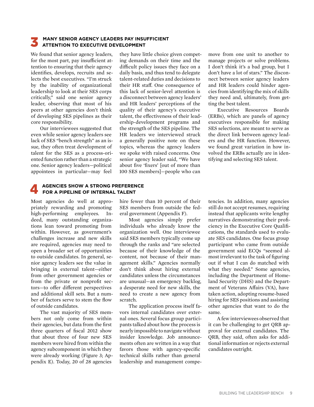#### 3 **Many senior agency leaders pay insufficient attention to executive development**

We found that senior agency leaders, for the most part, pay insufficient attention to ensuring that their agency identifies, develops, recruits and selects the best executives. "I'm struck by the inability of organizational leadership to look at their SES corps critically," said one senior agency leader, observing that most of his peers at other agencies don't think of developing SES pipelines as their core responsibility.

Our interviewees suggested that even while senior agency leaders see lack of SES "bench strength" as an issue, they often treat development of talent for the SES as a process-oriented function rather than a strategic one. Senior agency leaders—political appointees in particular—may feel

#### they have little choice given competing demands on their time and the difficult policy issues they face on a daily basis, and thus tend to delegate talent-related duties and decisions to their HR staff. One consequence of this lack of senior-level attention is a disconnect between agency leaders' and HR leaders' perceptions of the quality of their agency's executive talent, the effectiveness of their leadership-development programs and the strength of the SES pipeline. The HR leaders we interviewed struck a generally positive note on these topics, whereas the agency leaders we spoke with raised concerns. One senior agency leader said, "We have about five 'fixers' [out of more than 100 SES members]—people who can

move from one unit to another to manage projects or solve problems. I don't think it's a bad group, but I don't have a lot of stars." The disconnect between senior agency leaders and HR leaders could hinder agencies from identifying the mix of skills they need and, ultimately, from getting the best talent.

Executive Resources Boards (ERBs), which are panels of agency executives responsible for making SES selections, are meant to serve as the direct link between agency leaders and the HR function. However, we found great variation in how involved the ERBs actually are in identifying and selecting SES talent.

# 4 **Agencies show a strong preference for a pipeline of internal talent**

Most agencies do well at appropriately rewarding and promoting high-performing employees. Indeed, many outstanding organizations lean toward promoting from within. However, as government's challenges increase and new skills are required, agencies may need to open a broader set of opportunities to outside candidates. In general, senior agency leaders see the value in bringing in external talent—either from other government agencies or from the private or nonprofit sectors—to offer different perspectives and additional skill sets. But a number of factors serve to stem the flow of outside candidates.

The vast majority of SES members not only come from within their agencies, but data from the first three quarters of fiscal 2012 show that about three of four new SES members were hired from within the agency subcomponent in which they were already working (Figure 3; Appendix E). Today, 20 of 28 agencies

hire fewer than 10 percent of their SES members from outside the federal government (Appendix F).

Most agencies simply prefer individuals who already know the organization well. One interviewee said SES members typically come up through the ranks and "are selected because of their knowledge of the content, not because of their management skills." Agencies normally don't think about hiring external candidates unless the circumstances are unusual—an emergency backlog, a desperate need for new skills, the need to create a new agency from scratch.

The application process itself favors internal candidates over external ones. Several focus group participants talked about how the process is nearly impossible to navigate without insider knowledge. Job announcements often are written in a way that favors those with agency-specific technical skills rather than general leadership and management competencies. In addition, many agencies still do not accept resumes, requiring instead that applicants write lengthy narratives demonstrating their proficiency in the Executive Core Qualifications, the standards used to evaluate SES candidates. One focus group participant who came from outside government said ECQs "seemed almost irrelevant to the task of figuring out if what I can do matched with what they needed." Some agencies, including the Department of Homeland Security (DHS) and the Department of Veterans Affairs (VA), have taken action, adopting resume-based hiring for SES positions and assisting other agencies that want to do the same.

A few interviewees observed that it can be challenging to get QRB approval for external candidates. The QRB, they said, often asks for additional information or rejects external candidates outright.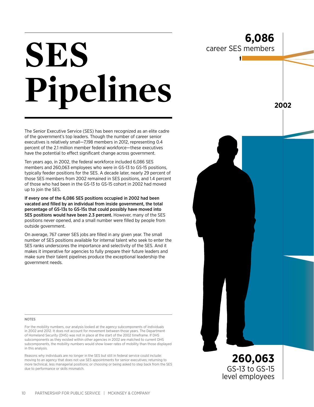**2002**

**260,063** GS-13 to GS-15 level employees

# **SES Pipelines**

The Senior Executive Service (SES) has been recognized as an elite cadre of the government's top leaders. Though the number of career senior executives is relatively small—7,198 members in 2012, representing 0.4 percent of the 2.1 million member federal workforce—these executives have the potential to effect significant change across government.

Ten years ago, in 2002, the federal workforce included 6,086 SES members and 260,063 employees who were in GS-13 to GS-15 positions, typically feeder positions for the SES. A decade later, nearly 29 percent of those SES members from 2002 remained in SES positions, and 1.4 percent of those who had been in the GS-13 to GS-15 cohort in 2002 had moved up to join the SES.

If every one of the 6,086 SES positions occupied in 2002 had been vacated and filled by an individual from inside government, the total percentage of GS-13s to GS-15s that could possibly have moved into SES positions would have been 2.3 percent. However, many of the SES positions never opened, and a small number were filled by people from outside government.

On average, 767 career SES jobs are filled in any given year. The small number of SES positions available for internal talent who seek to enter the SES ranks underscores the importance and selectivity of the SES. And it makes it imperative for agencies to fully prepare their future leaders and make sure their talent pipelines produce the exceptional leadership the government needs.

#### **NOTES**

For the mobility numbers, our analysis looked at the agency subcomponents of individuals in 2002 and 2012. It does not account for movement between those years. The Department of Homeland Security (DHS) was not in place at the start of the 2002 timeframe. If DHS subcomponents as they existed within other agencies in 2002 are matched to current DHS subcomponents, the mobility numbers would show lower rates of mobility than those displayed in this analysis.

Reasons why individuals are no longer in the SES but still in federal service could include: moving to an agency that does not use SES appointments for senior executives; returning to more technical, less managerial positions; or choosing or being asked to step back from the SES due to performance or skills mismatch.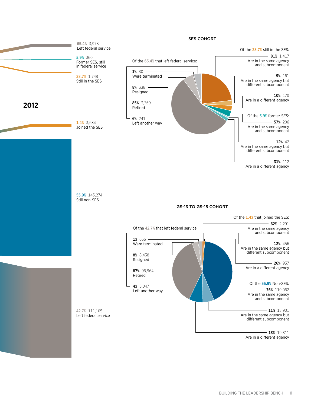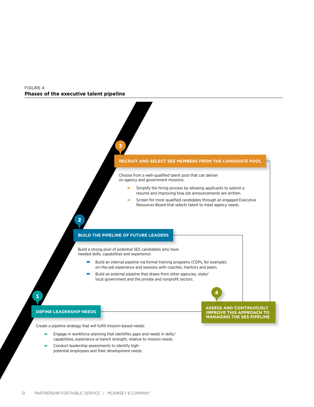#### Figure 4 **Phases of the executive talent pipeline**



Create a pipeline strategy that will fulfill mission-based needs:

1

- Engage in workforce planning that identifies gaps and needs in skills/ capabilities, experience or bench strength, relative to mission needs.
- Conduct leadership assessments to identify highpotential employees and their development needs.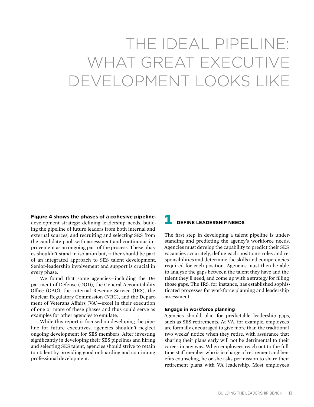# The ideal pipeline: WHAT GREAT EXECUTIVE development looks like

**Figure 4 shows the phases of a cohesive pipeline**development strategy: defining leadership needs, building the pipeline of future leaders from both internal and external sources, and recruiting and selecting SES from the candidate pool, with assessment and continuous improvement as an ongoing part of the process. These phases shouldn't stand in isolation but, rather should be part

of an integrated approach to SES talent development. Senior-leadership involvement and support is crucial in

every phase. We found that some agencies—including the Department of Defense (DOD), the General Accountability Office (GAO), the Internal Revenue Service (IRS), the Nuclear Regulatory Commission (NRC), and the Department of Veterans Affairs (VA)—excel in their execution of one or more of these phases and thus could serve as examples for other agencies to emulate.

While this report is focused on developing the pipeline for future executives, agencies shouldn't neglect ongoing development for SES members. After investing significantly in developing their SES pipelines and hiring and selecting SES talent, agencies should strive to retain top talent by providing good onboarding and continuing professional development.

## 1 **Define leadership needs**

The first step in developing a talent pipeline is understanding and predicting the agency's workforce needs. Agencies must develop the capability to predict their SES vacancies accurately, define each position's roles and responsibilities and determine the skills and competencies required for each position. Agencies must then be able to analyze the gaps between the talent they have and the talent they'll need, and come up with a strategy for filling those gaps. The IRS, for instance, has established sophisticated processes for workforce planning and leadership assessment.

#### **Engage in workforce planning**

Agencies should plan for predictable leadership gaps, such as SES retirements. At VA, for example, employees are formally encouraged to give more than the traditional two weeks' notice when they retire, with assurance that sharing their plans early will not be detrimental to their career in any way. When employees reach out to the fulltime staff member who is in charge of retirement and benefits counseling, he or she asks permission to share their retirement plans with VA leadership. Most employees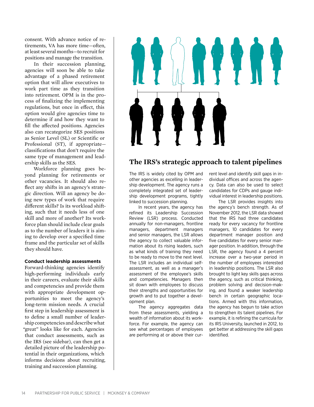consent. With advance notice of retirements, VA has more time—often, at least several months—to recruit for positions and manage the transition.

In their succession planning, agencies will soon be able to take advantage of a phased retirement option that will allow executives to work part time as they transition into retirement. OPM is in the process of finalizing the implementing regulations, but once in effect, this option would give agencies time to determine if and how they want to fill the affected positions. Agencies also can recategorize SES positions as Senior Level (SL) or Scientific or Professional (ST), if appropriate classifications that don't require the same type of management and leadership skills as the SES.

Workforce planning goes beyond planning for retirements or other vacancies. It should also reflect any shifts in an agency's strategic direction. Will an agency be doing new types of work that require different skills? Is its workload shifting, such that it needs less of one skill and more of another? Its workforce plan should include clear goals as to the number of leaders it is aiming to develop over a specified time frame and the particular set of skills they should have.

#### **Conduct leadership assessments**

Forward-thinking agencies identify high-performing individuals early in their careers, evaluate their skills and competencies and provide them with appropriate development opportunities to meet the agency's long-term mission needs. A crucial first step in leadership assessment is to define a small number of leadership competencies and describe what "great" looks like for each. Agencies that conduct assessments, such as the IRS (see sidebar), can then get a detailed picture of the leadership potential in their organizations, which informs decisions about recruiting, training and succession planning.



### **The IRS's strategic approach to talent pipelines**

The IRS is widely cited by OPM and other agencies as excelling in leadership development. The agency runs a completely integrated set of leadership development programs, tightly linked to succession planning.

In recent years, the agency has refined its Leadership Succession Review (LSR) process. Conducted annually for non-managers, frontline managers, department managers and senior managers, the LSR allows the agency to collect valuable information about its rising leaders, such as what kinds of training they need to be ready to move to the next level. The LSR includes an individual selfassessment, as well as a manager's assessment of the employee's skills and competencies. Managers then sit down with employees to discuss their strengths and opportunities for growth and to put together a development plan.

The agency aggregates data from these assessments, yielding a wealth of information about its workforce. For example, the agency can see what percentages of employees are performing at or above their current level and identify skill gaps in individual offices and across the agency. Data can also be used to select candidates for CDPs and gauge individual interest in leadership positions.

The LSR provides insights into the agency's bench strength. As of November 2012, the LSR data showed that the IRS had three candidates ready for every vacancy for frontline managers, 10 candidates for every department manager position and five candidates for every senior manager position. In addition, through the LSR, the agency found a 4 percent increase over a two-year period in the number of employees interested in leadership positions. The LSR also brought to light key skills gaps across the agency, such as critical thinking, problem solving and decision-making, and found a weaker leadership bench in certain geographic locations. Armed with this information, the agency has begun to take action to strengthen its talent pipelines. For example, it is refining the curricula for its IRS University, launched in 2012, to get better at addressing the skill gaps identified.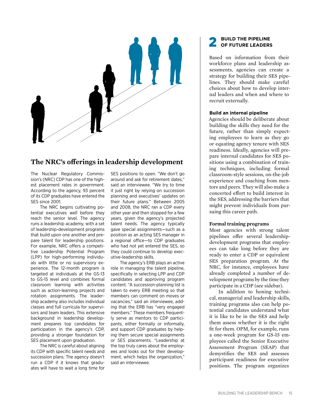

## **The NRC's offerings in leadership development**

The Nuclear Regulatory Commission's (NRC) CDP has one of the highest placement rates in government. According to the agency, 93 percent of its CDP graduates have entered the SES since 2001.

The NRC begins cultivating potential executives well before they reach the senior level. The agency runs a leadership academy, with a set of leadership-development programs that build upon one another and prepare talent for leadership positions. For example, NRC offers a competitive Leadership Potential Program (LPP) for high-performing individuals with little or no supervisory experience. The 12-month program is targeted at individuals at the GS-13 to GS-15 level and combines formal classroom learning with activities such as action-learning projects and rotation assignments. The leadership academy also includes individual classes and full curricula for supervisors and team leaders. This extensive background in leadership development prepares top candidates for participation in the agency's CDP, providing a stronger foundation for SES placement upon graduation.

The NRC is careful about aligning its CDP with specific talent needs and succession plans. The agency doesn't run a CDP if it knows that graduates will have to wait a long time for

SES positions to open. "We don't go around and ask for retirement dates," said an interviewee. "We try to time it just right by relying on succession planning and executives' updates on their future plans." Between 2005 and 2008, the NRC ran a CDP every other year and then stopped for a few years, given the agency's projected talent needs. The agency typically gave special assignments—such as a position as an acting SES manager in a regional office—to CDP graduates who had not yet entered the SES, so they could continue to develop executive-leadership skills.

The agency's ERB plays an active role in managing the talent pipeline, specifically in selecting LPP and CDP candidates and approving program content. "A succession-planning list is taken to every ERB meeting so that members can comment on moves or vacancies," said an interviewee, adding that the ERB has "very engaged members." These members frequently serve as mentors to CDP participants, either formally or informally, and support CDP graduates by helping them secure special assignments or SES placements. "Leadership at the top truly cares about the employees and looks out for their development, which helps the organization," said an interviewee.

#### 2 **Build the pipeline of future leaders**

Based on information from their workforce plans and leadership assessments, agencies can create a strategy for building their SES pipelines. They should make careful choices about how to develop internal leaders and when and where to recruit externally.

#### **Build an internal pipeline**

Agencies should be deliberate about building the skills they need for the future, rather than simply expecting employees to learn as they go or equating agency tenure with SES readiness. Ideally, agencies will prepare internal candidates for SES positions using a combination of training techniques, including formal classroom-style sessions, on-the-job experience and coaching from mentors and peers. They will also make a concerted effort to build interest in the SES, addressing the barriers that might prevent individuals from pursuing this career path.

#### **Formal training programs**

Most agencies with strong talent pipelines offer several leadershipdevelopment programs that employees can take long before they are ready to enter a CDP or equivalent SES preparation program. At the NRC, for instance, employees have already completed a number of development programs by the time they participate in a CDP (see sidebar).

In addition to honing technical, managerial and leadership skills, training programs also can help potential candidates understand what it is like to be in the SES and help them assess whether it is the right fit for them. OPM, for example, runs a one-week program for GS-15 employees called the Senior Executive Assessment Program (SEAP) that demystifies the SES and assesses participant readiness for executive positions. The program organizes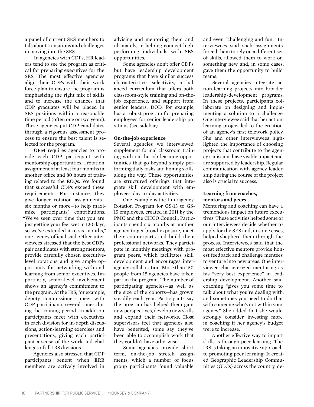a panel of current SES members to talk about transitions and challenges in moving into the SES.

In agencies with CDPs, HR leaders tend to see the program as critical for preparing executives for the SES. The most effective agencies align their CDPs with their workforce plan to ensure the program is emphasizing the right mix of skills and to increase the chances that CDP graduates will be placed in SES positions within a reasonable time period (often one or two years). These agencies put CDP candidates through a rigorous assessment process to ensure the best talent is selected for the program.

OPM requires agencies to provide each CDP participant with mentorship opportunities, a rotation assignment of at least four months in another office and 80 hours of training related to the ECQs. We found that successful CDPs exceed these requirements. For instance, they give longer rotation assignments six months or more—to help maximize participants' contributions. "We've seen over time that you are just getting your feet wet in 120 days, so we've extended it to six months," one agency official said. Other interviewees stressed that the best CDPs pair candidates with strong mentors, provide carefully chosen executivelevel rotations and give ample opportunity for networking with and learning from senior executives. Importantly, senior-level involvement shows an agency's commitment to the program. At the IRS, for example, deputy commissioners meet with CDP participants several times during the training period. In addition, participants meet with executives in each division for in-depth discussions, action-learning exercises and presentations, giving each participant a sense of the work and challenges of all IRS divisions.

Agencies also stressed that CDP participants benefit when ERB members are actively involved in advising and mentoring them and, ultimately, in helping connect highperforming individuals with SES opportunities.

Some agencies don't offer CDPs but have leadership development programs that have similar success characteristics: selectivity, a balanced curriculum that offers both classroom-style training and on-thejob experience, and support from senior leaders. DOD, for example, has a robust program for preparing employees for senior leadership positions (see sidebar).

#### **On-the-job experience**

Several agencies we interviewed supplement formal classroom training with on-the-job learning opportunities that go beyond simply performing daily tasks and honing skills along the way. These opportunities are structured offerings that integrate skill development with employees' day-to-day activities.

One example is the Interagency Rotation Program for GS-13 to GS-15 employees, created in 2011 by the PMC and the CHCO Council. Participants spend six months at another agency to get broad exposure, meet their counterparts and build their professional networks. They participate in monthly meetings with program peers, which facilitates skill development and encourages interagency collaboration. More than 150 people from 15 agencies have taken part in the program. The number of participating agencies—as well as the size of the cohorts—has grown steadily each year. Participants say the program has helped them gain new perspectives, develop new skills and expand their networks. Host supervisors feel that agencies also have benefited; some say they've been able to accomplish work that they couldn't have otherwise.

Some agencies provide shortterm, on-the-job stretch assignments, which a number of focus group participants found valuable

and even "challenging and fun." Interviewees said such assignments forced them to rely on a different set of skills, allowed them to work on something new and, in some cases, gave them the opportunity to build teams.

Several agencies integrate action-learning projects into broader leadership-development programs. In these projects, participants collaborate on designing and implementing a solution to a challenge. One interviewee said that her actionlearning project led to the creation of an agency's first telework policy. She and other interviewees highlighted the importance of choosing projects that contribute to the agency's mission, have visible impact and are supported by leadership. Regular communication with agency leadership during the course of the project also is crucial to success.

#### **Learning from coaches, mentors and peers**

Mentoring and coaching can have a tremendous impact on future executives. These activities helped some of our interviewees decide whether to apply for the SES and, in some cases, helped shepherd them through the process. Interviewees said that the most effective mentors provide honest feedback and challenge mentees to venture into new areas. One interviewee characterized mentoring as his "very best experience" in leadership development. Another said coaching "gives you some time to talk about what you're dealing with, and sometimes you need to do that with someone who's not within your agency." She added that she would strongly consider investing more in coaching if her agency's budget were to increase.

Another effective way to impart skills is through peer learning. The IRS is taking an innovative approach to promoting peer learning: It created Geographic Leadership Communities (GLCs) across the country, de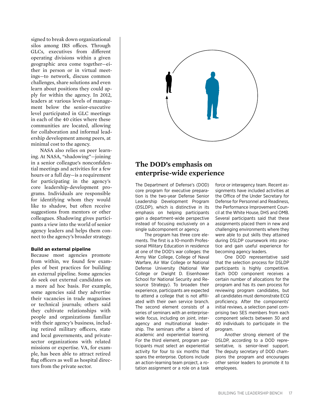signed to break down organizational silos among IRS offices. Through GLCs, executives from different operating divisions within a given geographic area come together—either in person or in virtual meetings—to network, discuss common challenges, share solutions and even learn about positions they could apply for within the agency. In 2012, leaders at various levels of management below the senior-executive level participated in GLC meetings in each of the 40 cities where these communities are located, allowing for collaboration and informal leadership development among peers, at minimal cost to the agency.

NASA also relies on peer learning. At NASA, "shadowing"—joining in a senior colleague's nonconfidential meetings and activities for a few hours or a full day—is a requirement for participating in the agency's core leadership-development programs. Individuals are responsible for identifying whom they would like to shadow, but often receive suggestions from mentors or other colleagues. Shadowing gives participants a view into the world of senior agency leaders and helps them connect to the agency's broader strategy.

#### **Build an external pipeline**

Because most agencies promote from within, we found few examples of best practices for building an external pipeline. Some agencies do seek out external candidates on a more ad hoc basis. For example, some agencies said they advertise their vacancies in trade magazines or technical journals; others said they cultivate relationships with people and organizations familiar with their agency's business, including retired military officers, state and local governments, and privatesector organizations with related missions or expertise. VA, for example, has been able to attract retired flag officers as well as hospital directors from the private sector.



## **The DOD's emphasis on enterprise-wide experience**

The Department of Defense's (DOD) core program for executive preparation is the two-year Defense Senior Leadership Development Program (DSLDP), which is distinctive in its emphasis on helping participants gain a department-wide perspective instead of focusing exclusively on a single subcomponent or agency.

The program has three core elements. The first is a 10-month Professional Military Education in residence at one of the DOD's war colleges: the Army War College, College of Naval Warfare, Air War College or National Defense University (National War College or Dwight D. Eisenhower School for National Security and Resource Strategy). To broaden their experience, participants are expected to attend a college that is not affiliated with their own service branch. The second element consists of a series of seminars with an enterprisewide focus, including on joint, interagency and multinational leadership. The seminars offer a blend of academic and experiential learning. For the third element, program participants must select an experiential activity for four to six months that spans the enterprise. Options include an action-learning team project, a rotation assignment or a role on a task

force or interagency team. Recent assignments have included activities at the Office of the Under Secretary for Defense for Personnel and Readiness, the Performance Improvement Council at the White House, DHS and OMB. Several participants said that these assignments placed them in new and challenging environments where they were able to put skills they attained during DSLDP coursework into practice and gain useful experience for becoming agency leaders.

One DOD representative said that the selection process for DSLDP participants is highly competitive. Each DOD component receives a certain number of allocations for the program and has its own process for reviewing program candidates, but all candidates must demonstrate ECQ proficiency. After the components' initial reviews, a selection panel comprising two SES members from each component selects between 30 and 40 individuals to participate in the program.

Another strong element of the DSLDP, according to a DOD representative, is senior-level support. The deputy secretary of DOD champions the program and encourages other senior leaders to promote it to employees.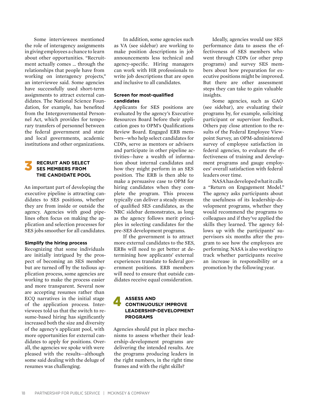Some interviewees mentioned the role of interagency assignments in giving employees a chance to learn about other opportunities. "Recruitment actually comes … through the relationships that people have from working on interagency projects," an interviewee said. Some agencies have successfully used short-term assignments to attract external candidates. The National Science Foundation, for example, has benefited from the Intergovernmental Personnel Act, which provides for temporary transfers of personnel between the federal government and state and local governments, academic institutions and other organizations.

# **SES MEMBERS FROM the candidate pool**

An important part of developing the executive pipeline is attracting candidates to SES positions, whether they are from inside or outside the agency. Agencies with good pipelines often focus on making the application and selection processes for SES jobs smoother for all candidates.

#### **Simplify the hiring process**

Recognizing that some individuals are initially intrigued by the prospect of becoming an SES member but are turned off by the tedious application process, some agencies are working to make the process easier and more transparent. Several now are accepting resumes rather than ECQ narratives in the initial stage of the application process. Interviewees told us that the switch to resume-based hiring has significantly increased both the size and diversity of the agency's applicant pool, with more opportunities for external candidates to apply for positions. Overall, the agencies we spoke with were pleased with the results—although some said dealing with the deluge of resumes was challenging.

In addition, some agencies such as VA (see sidebar) are working to make position descriptions in job announcements less technical and agency-specific. Hiring managers can work with HR professionals to write job descriptions that are open and inclusive to all candidates.

#### **Screen for most-qualified candidates**

Applicants for SES positions are evaluated by the agency's Executive Resources Board before their application goes to OPM's Qualifications Review Board. Engaged ERB members—who help select candidates for CDPs, serve as mentors or advisers and participate in other pipeline activities—have a wealth of information about internal candidates and how they might perform in an SES position. The ERB is then able to make a persuasive case to OPM for hiring candidates when they complete the program. This process typically can deliver a steady stream of qualified SES candidates, as the NRC sidebar demonstrates, as long as the agency follows merit principles in selecting candidates for the pre-SES development programs.

If the government is to attract more external candidates to the SES, ERBs will need to get better at determining how applicants' external experiences translate to federal government positions. ERB members will need to ensure that outside candidates receive equal consideration.

# 4 **Assess and continuously improve leadership-development programs**

Agencies should put in place mechanisms to assess whether their leadership-development programs are delivering the intended results. Are the programs producing leaders in the right numbers, in the right time frames and with the right skills?

Ideally, agencies would use SES performance data to assess the effectiveness of SES members who went through CDPs (or other prep programs) and survey SES members about how preparation for executive positions might be improved. But there are other assessment steps they can take to gain valuable insights.

Some agencies, such as GAO (see sidebar), are evaluating their programs by, for example, soliciting participant or supervisor feedback. Others pay close attention to the results of the Federal Employee Viewpoint Survey, an OPM-administered survey of employee satisfaction in federal agencies, to evaluate the effectiveness of training and development programs and gauge employees' overall satisfaction with federal leaders over time.

NASA has developed what it calls a "Return on Engagement Model." The agency asks participants about the usefulness of its leadership-development programs, whether they would recommend the programs to colleagues and if they've applied the skills they learned. The agency follows up with the participants' supervisors six months after the program to see how the employees are performing. NASA is also working to track whether participants receive an increase in responsibility or a promotion by the following year.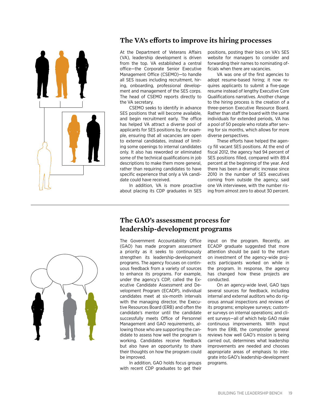

## **The VA's efforts to improve its hiring processes**

At the Department of Veterans Affairs (VA), leadership development is driven from the top. VA established a central office—the Corporate Senior Executive Management Office (CSEMO)—to handle all SES issues including recruitment, hiring, onboarding, professional development and management of the SES corps. The head of CSEMO reports directly to the VA secretary.

CSEMO seeks to identify in advance SES positions that will become available, and begin recruitment early. The office has helped VA attract a diverse pool of applicants for SES positions by, for example, ensuring that all vacancies are open to external candidates, instead of limiting some openings to internal candidates only. It also has reworded or eliminated some of the technical qualifications in job descriptions to make them more general, rather than requiring candidates to have specific experience that only a VA candidate could have received.

In addition, VA is more proactive about placing its CDP graduates in SES

positions, posting their bios on VA's SES website for managers to consider and forwarding their names to nominating officials when there are vacancies.

VA was one of the first agencies to adopt resume-based hiring; it now requires applicants to submit a five-page resume instead of lengthy Executive Core Qualifications narratives. Another change to the hiring process is the creation of a three-person Executive Resource Board. Rather than staff the board with the same individuals for extended periods, VA has a pool of 50 people who rotate after serving for six months, which allows for more diverse perspectives.

These efforts have helped the agency fill vacant SES positions. At the end of fiscal 2012, the agency had 94 percent of SES positions filled, compared with 89.4 percent at the beginning of the year. And there has been a dramatic increase since 2010 in the number of SES executives coming from outside the agency, said one VA interviewee, with the number rising from almost zero to about 30 percent.



## **The GAO's assessment process for leadership-development programs**

The Government Accountability Office (GAO) has made program assessment a priority as it seeks to continuously strengthen its leadership-development programs. The agency focuses on continuous feedback from a variety of sources to enhance its programs. For example, under the agency's CDP, called the Executive Candidate Assessment and Development Program (ECADP), individual candidates meet at six-month intervals with the managing director, the Executive Resources Board (ERB) and often the candidate's mentor until the candidate successfully meets Office of Personnel Management and GAO requirements, allowing those who are supporting the candidate to assess how well the program is working. Candidates receive feedback but also have an opportunity to share their thoughts on how the program could be improved.

In addition, GAO holds focus groups with recent CDP graduates to get their

input on the program. Recently, an ECADP graduate suggested that more attention should be paid to the return on investment of the agency-wide projects participants worked on while in the program. In response, the agency has changed how these projects are conducted.

On an agency-wide level, GAO taps several sources for feedback, including internal and external auditors who do rigorous annual inspections and reviews of its programs; employee surveys; customer surveys on internal operations; and client surveys—all of which help GAO make continuous improvements. With input from the ERB, the comptroller general reviews how well GAO's mission is being carried out, determines what leadership improvements are needed and chooses appropriate areas of emphasis to integrate into GAO's leadership-development programs.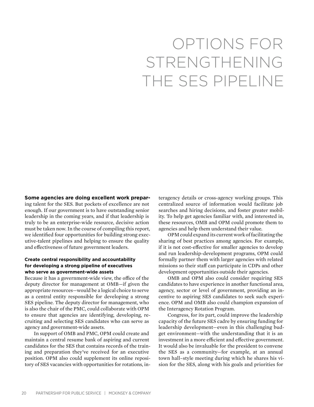# Options for strengthening the SES pipeline

**Some agencies are doing excellent work prepar-**

ing talent for the SES. But pockets of excellence are not enough. If our government is to have outstanding senior leadership in the coming years, and if that leadership is truly to be an enterprise-wide resource, decisive action must be taken now. In the course of compiling this report, we identified four opportunities for building strong executive-talent pipelines and helping to ensure the quality and effectiveness of future government leaders.

#### **Create central responsibility and accountability for developing a strong pipeline of executives who serve as government-wide assets**

Because it has a government-wide view, the office of the deputy director for management at OMB—if given the appropriate resources—would be a logical choice to serve as a central entity responsible for developing a strong SES pipeline. The deputy director for management, who is also the chair of the PMC, could collaborate with OPM to ensure that agencies are identifying, developing, recruiting and selecting SES candidates who can serve as agency and government-wide assets.

In support of OMB and PMC, OPM could create and maintain a central resume bank of aspiring and current candidates for the SES that contains records of the training and preparation they've received for an executive position. OPM also could supplement its online repository of SES vacancies with opportunities for rotations, interagency details or cross-agency working groups. This centralized source of information would facilitate job searches and hiring decisions, and foster greater mobility. To help get agencies familiar with, and interested in, these resources, OMB and OPM could promote them to agencies and help them understand their value.

OPM could expand its current work of facilitating the sharing of best practices among agencies. For example, if it is not cost-effective for smaller agencies to develop and run leadership-development programs, OPM could formally partner them with larger agencies with related missions so their staff can participate in CDPs and other development opportunities outside their agencies.

OMB and OPM also could consider requiring SES candidates to have experience in another functional area, agency, sector or level of government, providing an incentive to aspiring SES candidates to seek such experience. OPM and OMB also could champion expansion of the Interagency Rotation Program.

Congress, for its part, could improve the leadership capacity of the future SES cadre by ensuring funding for leadership development—even in this challenging budget environment—with the understanding that it is an investment in a more efficient and effective government. It would also be invaluable for the president to convene the SES as a community—for example, at an annual town hall–style meeting during which he shares his vision for the SES, along with his goals and priorities for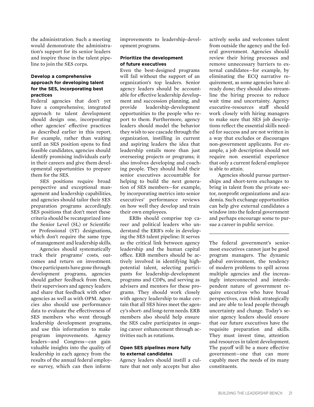the administration. Such a meeting would demonstrate the administration's support for its senior leaders and inspire those in the talent pipeline to join the SES corps.

#### **Develop a comprehensive approach for developing talent for the SES, incorporating best practices**

Federal agencies that don't yet have a comprehensive, integrated approach to talent development should design one, incorporating other agencies' effective practices as described earlier in this report. For example, rather than waiting until an SES position opens to find feasible candidates, agencies should identify promising individuals early in their careers and give them developmental opportunities to prepare them for the SES.

SES positions require broad perspective and exceptional management and leadership capabilities, and agencies should tailor their SES preparation programs accordingly. SES positions that don't meet these criteria should be recategorized into the Senior Level (SL) or Scientific or Professional (ST) designations, which don't require the same type of management and leadership skills.

Agencies should systematically track their programs' costs, outcomes and return on investment. Once participants have gone through development programs, agencies should gather feedback from them, their supervisors and agency leaders and share that feedback with other agencies as well as with OPM. Agencies also should use performance data to evaluate the effectiveness of SES members who went through leadership development programs, and use this information to make program improvements. Agency leaders—and Congress—can gain valuable insights into the quality of leadership in each agency from the results of the annual federal employee survey, which can then inform

improvements to leadership-development programs.

#### **Prioritize the development of future executives**

Even the best-designed programs will fail without the support of an organization's top leaders. Senior agency leaders should be accountable for effective leadership development and succession planning, and provide leadership-development opportunities to the people who report to them. Furthermore, agency leaders should model the behavior they wish to see cascade through the organization, instilling in current and aspiring leaders the idea that leadership entails more than just overseeing projects or programs; it also involves developing and coaching people. They should hold their senior executives accountable for helping to build the next generation of SES members—for example, by incorporating metrics into senior executives' performance reviews on how well they develop and train their own employees.

ERBs should comprise top career and political leaders who understand the ERB's role in developing the SES talent pipeline: It serves as the critical link between agency leadership and the human capital office. ERB members should be actively involved in identifying highpotential talent, selecting participants for leadership-development programs and CDPs, and serving as advisers and mentors for these programs. They should work closely with agency leadership to make certain that all SES hires meet the agency's short- and long-term needs. ERB members also should help ensure the SES cadre participates in ongoing career enhancement through activities such as rotations.

#### **Open SES pipelines more fully to external candidates**

Agency leaders should instill a culture that not only accepts but also

actively seeks and welcomes talent from outside the agency and the federal government. Agencies should review their hiring processes and remove unnecessary barriers to external candidates—for example, by eliminating the ECQ narrative requirement, as some agencies have already done; they should also streamline the hiring process to reduce wait time and uncertainty. Agency executive-resources staff should work closely with hiring managers to make sure that SES job descriptions reflect the essential skills needed for success and are not written in a way that excludes or discourages non-government applicants. For example, a job description should not require non essential experience that only a current federal employee is able to attain.

Agencies should pursue partnerships and short-term exchanges to bring in talent from the private sector, nonprofit organizations and academia. Such exchange opportunities can help give external candidates a window into the federal government and perhaps encourage some to pursue a career in public service.

The federal government's seniormost executives cannot just be good program managers. The dynamic global environment, the tendency of modern problems to spill across multiple agencies and the increasingly interconnected and interdependent nature of government require executives who have broad perspectives, can think strategically and are able to lead people through uncertainty and change. Today's senior agency leaders should ensure that our future executives have the requisite preparation and skills. They must invest time, attention and resources in talent development. The payoff will be a more effective government—one that can more capably meet the needs of its many constituents.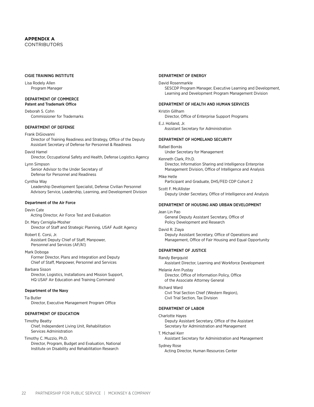#### **Appendix A CONTRIBUTORS**

#### CIGIE Training Institute

Lisa Rodely Allen Program Manager

## Department of Commerce

Patent and Trademark Office

Deborah S. Cohn Commissioner for Trademarks

#### Department of Defense

#### Frank DiGiovanni

Director of Training Readiness and Strategy, Office of the Deputy Assistant Secretary of Defense for Personnel & Readiness

#### David Hamel

Director, Occupational Safety and Health, Defense Logistics Agency

Lynn Simpson

Senior Advisor to the Under Secretary of Defense for Personnel and Readiness

#### Cynthia Way

Leadership Development Specialist, Defense Civilian Personnel Advisory Service, Leadership, Learning, and Development Division

#### Department of the Air Force

#### Devin Cate

Acting Director, Air Force Test and Evaluation

Dr. Mary Cerniglia-Mosher Director of Staff and Strategic Planning, USAF Audit Agency

Robert E. Corsi, Jr. Assistant Deputy Chief of Staff, Manpower, Personnel and Services (AF/A1)

#### Mark Doboga

Former Director, Plans and Integration and Deputy Chief of Staff, Manpower, Personnel and Services

Barbara Sisson

Director, Logistics, Installations and Mission Support, HQ USAF Air Education and Training Command

#### Department of the Navy

Tia Butler

Director, Executive Management Program Office

#### Department of Education

#### Timothy Beatty

Chief, Independent Living Unit, Rehabilitation Services Administration

#### Timothy C. Muzzio, Ph.D.

Director, Program, Budget and Evaluation, National Institute on Disability and Rehabilitation Research

#### Department of Energy

#### David Rosenmarkle

SESCDP Program Manager, Executive Learning and Development, Learning and Development Program Management Division

#### Department of Health and Human Services

#### Kristin Gillham

Director, Office of Enterprise Support Programs

E.J. Holland, Jr. Assistant Secretary for Administration

#### Department of Homeland Security

#### Rafael Borrás

Under Secretary for Management

Kenneth Clark, P.h.D.

Director, Information Sharing and Intelligence Enterprise Management Division, Office of Intelligence and Analysis

#### Mike Hetle

Participant and Graduate, DHS/FED CDP Cohort 2

#### Scott F. McAllister Deputy Under Secretary, Office of Intelligence and Analysis

#### Department of Housing and Urban Development

Jean Lin Pao General Deputy Assistant Secretary, Office of Policy Development and Research

#### David R. Ziaya

Deputy Assistant Secretary, Office of Operations and Management, Office of Fair Housing and Equal Opportunity

#### Department of Justice

Randy Bergquist

Assistant Director, Learning and Workforce Development

Melanie Ann Pustay Director, Office of Information Policy, Office

of the Associate Attorney General

#### Richard Ward

Civil Trial Section Chief (Western Region), Civil Trial Section, Tax Division

#### Department of Labor

#### Charlotte Hayes

Deputy Assistant Secretary, Office of the Assistant Secretary for Administration and Management

#### T. Michael Kerr

Assistant Secretary for Administration and Management

#### Sydney Rose

Acting Director, Human Resources Center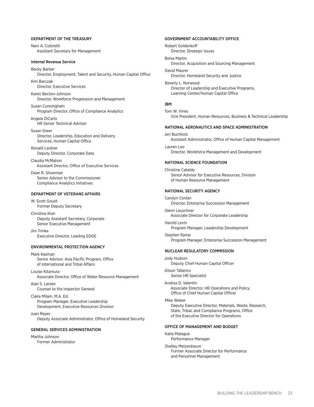#### Department of the Treasury

Nani A. Coloretti Assistant Secretary for Management

#### Internal Revenue Service

Becky Barber Director, Employment, Talent and Security, Human Capital Office

Kim Barczak Director, Executive Services

Karen Becton-Johnson Director, Workforce Progression and Management

Susan Cunningham Program Director, Office of Compliance Analytics

Angela DiCarlo HR Senior Technical Advisor

Susan Greer Director, Leadership, Education and Delivery Services, Human Capital Office

Ronald Leidner Deputy Director, Corporate Data

Claudia McMahon Assistant Director, Office of Executive Services

Dean R. Silverman Senior Advisor to the Commissioner, Compliance Analytics Initiatives

#### Department of Veterans Affairs

W. Scott Gould Former Deputy Secretary

Christine Kluh Deputy Assistant Secretary, Corporate Senior Executive Management

Jim Trinka Executive Director, Leading EDGE

#### Environmental Protection Agency

Mark Kasman Senior Advisor, Asia Pacific Program, Office of International and Tribal Affairs

Louise Kitamura Associate Director, Office of Water Resource Management

Alan S. Larsen Counsel to the Inspector General

Claire Milam, M.A. Ed. Program Manager, Executive Leadership Development, Executive Resources Division

Juan Reyes Deputy Associate Administrator, Office of Homeland Security

#### General Services Administration

Martha Johnson Former Administrator

#### Government Accountability Office

Robert Goldenkoff Director, Strategic Issues

Belva Martin Director, Acquisition and Sourcing Management

David Maurer Director, Homeland Security and Justice

Beverly L. Norwood Director of Leadership and Executive Programs, Learning Center/Human Capital Office

#### IBM

Tom W. Vines Vice President, Human Resources, Business & Technical Leadership

#### National Aeronautics and Space Administration

Jeri Buchholz Assistant Administrator, Office of Human Capital Management

Lauren Leo Director, Workforce Management and Development

#### National Science Foundation

Christine Cataldo Senior Advisor for Executive Resources, Division of Human Resource Management

#### National Security Agency

Carolyn Conlan Director, Enterprise Succession Management Glenn Leuschner

Associate Director for Corporate Leadership

Harold Levin Program Manager, Leadership Development

Stephen Ramp Program Manager, Enterprise Succession Management

#### Nuclear Regulatory Commission

Jody Hudson Deputy Chief Human Capital Officer Alison Tallarico

Senior HR Specialist

Andrea D. Valentin Associate Director, HR Operations and Policy, Office of Chief Human Capital Officer

#### Mike Weber

Deputy Executive Director, Materials, Waste, Research, State, Tribal, and Compliance Programs, Office of the Executive Director for Operations

#### Office of Management and Budget

Katie Malague Performance Manager

Shelley Metzenbaum Former Associate Director for Performance and Personnel Management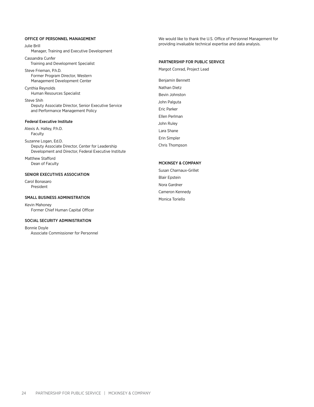#### Office of Personnel Management

Julie Brill

Manager, Training and Executive Development

Cassandra Cunfer Training and Development Specialist

Steve Frieman, P.h.D. Former Program Director, Western Management Development Center

Cynthia Reynolds Human Resources Specialist

Steve Shih Deputy Associate Director, Senior Executive Service and Performance Management Policy

#### Federal Executive Institute

Alexis A. Halley, P.h.D. Faculty

Suzanne Logan, Ed.D. Deputy Associate Director, Center for Leadership Development and Director, Federal Executive Institute

Matthew Stafford Dean of Faculty

#### Senior Executives Association

Carol Bonasaro President

#### Small Business Administration

Kevin Mahoney Former Chief Human Capital Officer

#### Social Security Administration

Bonnie Doyle Associate Commissioner for Personnel We would like to thank the U.S. Office of Personnel Management for providing invaluable technical expertise and data analysis.

#### Partnership for Public Service

Margot Conrad, Project Lead

Benjamin Bennett Nathan Dietz Bevin Johnston John Palguta Eric Parker Ellen Perlman John Ruley Lara Shane Erin Simpler Chris Thompson

#### McKinsey & Company

Susan Charnaux-Grillet Blair Epstein Nora Gardner Cameron Kennedy Monica Toriello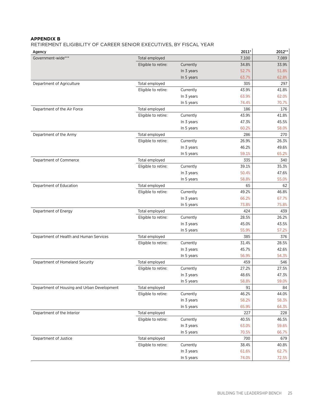#### **Appendix B**

Retirement eligibility of career senior executives, By fiscal year

| Agency                                      |                                       |            | 2011*          | 2012**         |
|---------------------------------------------|---------------------------------------|------------|----------------|----------------|
| Government-wide***                          | Total employed                        |            | 7,100          | 7,089          |
|                                             | Eligible to retire:                   | Currently  | 34.8%          | 33.9%          |
|                                             |                                       | In 3 years | 52.7%          | 51.8%          |
|                                             |                                       | In 5 years | 63.7%          | 62.8%          |
| Department of Agriculture                   | Total employed                        |            | 305            | 297            |
|                                             | Eligible to retire:                   | Currently  | 43.9%          | 41.8%          |
|                                             |                                       | In 3 years | 63.9%          | 62.0%          |
|                                             |                                       | In 5 years | 74.4%          | 70.7%          |
| Department of the Air Force                 | Total employed                        |            | 186            | 176            |
|                                             | Eligible to retire:                   | Currently  | 43.9%          | 41.8%          |
|                                             |                                       | In 3 years | 47.3%          | 45.5%          |
|                                             |                                       | In 5 years | 60.2%          | 58.0%          |
| Department of the Army                      | Total employed                        |            | 286            | 270            |
|                                             | Eligible to retire:                   | Currently  | 26.9%<br>46.2% | 26.3%          |
|                                             |                                       | In 3 years | 59.1%          | 49.6%<br>65.2% |
| Department of Commerce                      | Total employed                        | In 5 years | 335            | 340            |
|                                             | Eligible to retire:                   | Currently  | 39.1%          | 35.3%          |
|                                             |                                       | In 3 years | 50.4%          | 47.6%          |
|                                             |                                       | In 5 years | 58.8%          | 55.0%          |
| Department of Education                     | Total employed                        |            | 65             | 62             |
|                                             | Eligible to retire:                   | Currently  | 49.2%          | 46.8%          |
|                                             |                                       | In 3 years | 66.2%          | 67.7%          |
|                                             |                                       | In 5 years | 73.8%          | 75.8%          |
| Department of Energy                        | Total employed                        |            | 424            | 439            |
|                                             | Eligible to retire:                   | Currently  | 28.5%          | 26.2%          |
|                                             |                                       | In 3 years | 45.0%          | 43.5%          |
|                                             |                                       | In 5 years | 55.9%          | 57.2%          |
| Department of Health and Human Services     | Total employed                        |            | 385            | 376            |
|                                             | Eligible to retire:                   | Currently  | 31.4%          | 28.5%          |
|                                             |                                       | In 3 years | 45.7%          | 42.6%          |
|                                             |                                       | In 5 years | 56.9%          | 54.3%          |
| Department of Homeland Security             | Total employed                        |            | 459            | 546            |
|                                             | Eligible to retire:                   | Currently  | 27.2%          | 27.5%          |
|                                             |                                       | In 3 years | 48.6%          | 47.3%          |
|                                             |                                       | In 5 years | 58.8%          | 59.0%          |
| Department of Housing and Urban Development | Total employed                        |            | 91             | 84             |
|                                             | Eligible to retire:                   | Currently  | 46.2%          | 44.0%          |
|                                             |                                       | In 3 years | 58.2%          | 58.3%          |
|                                             |                                       | In 5 years | 65.9%          | 64.3%          |
| Department of the Interior                  | Total employed                        |            | 227            | 228            |
|                                             | Eligible to retire:                   | Currently  | 40.5%          | 46.5%          |
|                                             |                                       | In 3 years | 63.0%          | 59.6%          |
|                                             |                                       | In 5 years | 70.5%          | 66.7%          |
| Department of Justice                       | Total employed<br>Eligible to retire: |            | 700            | 679            |
|                                             |                                       | Currently  | 38.4%          | 40.8%          |
|                                             |                                       | In 3 years | 61.6%          | 62.7%          |
|                                             |                                       | In 5 years | 74.0%          | 72.5%          |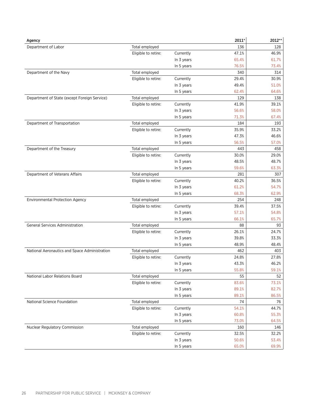| Agency                                        |                                       |            | 2011*          | 2012**       |
|-----------------------------------------------|---------------------------------------|------------|----------------|--------------|
| Department of Labor                           | Total employed                        |            | 136            | 128          |
|                                               | Eligible to retire:                   | Currently  | 47.1%          | 46.9%        |
|                                               |                                       | In 3 years | 65.4%          | 61.7%        |
|                                               |                                       | In 5 years | 76.5%          | 73.4%        |
| Department of the Navy                        | Total employed                        |            | 340            | 314          |
|                                               | Eligible to retire:                   | Currently  | 29.4%          | 30.9%        |
|                                               |                                       | In 3 years | 49.4%          | 51.0%        |
|                                               |                                       | In 5 years | 62.4%          | 64.6%        |
| Department of State (except Foreign Service)  | Total employed                        |            | 129            | 138          |
|                                               | Eligible to retire:                   | Currently  | 41.9%          | 39.1%        |
|                                               |                                       | In 3 years | 56.6%          | 58.0%        |
|                                               |                                       | In 5 years | 71.3%          | 67.4%        |
| Department of Transportation                  | Total employed                        |            | 184            | 193          |
|                                               | Eligible to retire:                   | Currently  | 35.9%          | 33.2%        |
|                                               |                                       | In 3 years | 47.3%<br>56.5% | 46.6%        |
| Department of the Treasury                    | Total employed                        | In 5 years | 443            | 57.0%<br>458 |
|                                               | Eligible to retire:                   | Currently  | 30.0%          | 29.0%        |
|                                               |                                       | In 3 years | 48.5%          | 48.7%        |
|                                               |                                       | In 5 years | 59.6%          | 63.3%        |
| Department of Veterans Affairs                | Total employed                        |            | 281            | 307          |
|                                               | Eligible to retire:                   | Currently  | 40.2%          | 36.5%        |
|                                               |                                       | In 3 years | 61.2%          | 54.7%        |
|                                               |                                       | In 5 years | 68.3%          | 62.9%        |
| <b>Environmental Protection Agency</b>        | Total employed                        |            | 254            | 248          |
|                                               | Eligible to retire:                   | Currently  | 39.4%          | 37.5%        |
|                                               |                                       | In 3 years | 57.1%          | 54.8%        |
|                                               |                                       | In 5 years | 66.1%          | 65.7%        |
| <b>General Services Administration</b>        | Total employed                        |            | 88             | 93           |
|                                               | Eligible to retire:                   | Currently  | 26.1%          | 24.7%        |
|                                               |                                       | In 3 years | 39.8%          | 33.3%        |
|                                               |                                       | In 5 years | 48.9%          | 48.4%        |
| National Aeronautics and Space Administration | Total employed                        |            | 462            | 403          |
|                                               | Eligible to retire:                   | Currently  | 24.8%          | 27.8%        |
|                                               |                                       | In 3 years | 43.3%          | 46.2%        |
|                                               |                                       | In 5 years | 55.8%          | 59.1%        |
| National Labor Relations Board                | Total employed                        |            | 55             | 52           |
|                                               | Eligible to retire:                   | Currently  | 83.6%          | 73.1%        |
|                                               |                                       | In 3 years | 89.1%          | 82.7%        |
|                                               |                                       | In 5 years | 89.1%          | 86.5%        |
| National Science Foundation                   | Total employed                        |            | 74             | 76           |
|                                               | Eligible to retire:                   | Currently  | 54.1%          | 44.7%        |
|                                               |                                       | In 3 years | 60.8%          | 55.3%        |
| <b>Nuclear Regulatory Commission</b>          |                                       | In 5 years | 73.0%          | 64.5%        |
|                                               | Total employed<br>Eligible to retire: | Currently  | 160<br>32.5%   | 146<br>32.2% |
|                                               |                                       | In 3 years | 50.6%          | 53.4%        |
|                                               |                                       | In 5 years | 65.0%          | 69.9%        |
|                                               |                                       |            |                |              |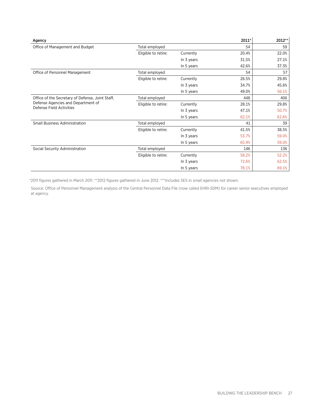| Agency                                           |                     |            | 2011* | 2012** |
|--------------------------------------------------|---------------------|------------|-------|--------|
| Office of Management and Budget                  | Total employed      |            | 54    | 59     |
|                                                  | Eligible to retire: | Currently  | 20.4% | 22.0%  |
|                                                  |                     | In 3 years | 31.5% | 27.1%  |
|                                                  |                     | In 5 years | 42.6% | 37.3%  |
| Office of Personnel Management                   | Total employed      |            | 54    | 57     |
|                                                  | Eligible to retire: | Currently  | 26.5% | 29.8%  |
|                                                  |                     | In 3 years | 34.7% | 45.6%  |
|                                                  |                     | In 5 years | 49.0% | 56.1%  |
| Office of the Secretary of Defense, Joint Staff, | Total employed      |            | 448   | 406    |
| Defense Agencies and Department of               | Eligible to retire: | Currently  | 28.1% | 29.8%  |
| Defense Field Activities                         |                     | In 3 years | 47.1% | 50.7%  |
|                                                  |                     | In 5 years | 62.1% | 62.6%  |
| <b>Small Business Administration</b>             | Total employed      |            | 41    | 39     |
|                                                  | Eligible to retire: | Currently  | 41.5% | 38.5%  |
|                                                  |                     | In 3 years | 53.7% | 59.0%  |
|                                                  |                     | In 5 years | 65.9% | 59.0%  |
| Social Security Administration                   | Total employed      |            | 146   | 136    |
|                                                  | Eligible to retire: | Currently  | 58.2% | 52.2%  |
|                                                  |                     | In 3 years | 72.6% | 62.5%  |
|                                                  |                     | In 5 years | 78.1% | 69.1%  |

\*2011 figures gathered in March 2011. \*\*2012 figures gathered in June 2012. \*\*\*Includes SES in small agencies not shown.

Source: Office of Personnel Management analysis of the Central Personnel Data File (now called EHRI-SDM) for career senior executives employed at agency.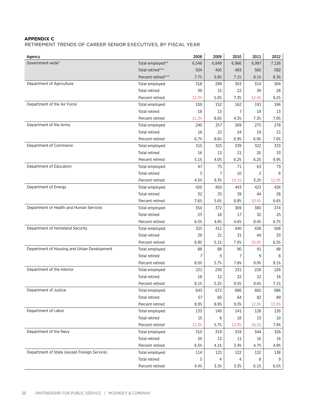#### **Appendix C**

Retirement Trends of Career Senior Executives, by fiscal year

| Agency                                       |                      | 2008  | 2009  | 2010           | 2011  | 2012  |
|----------------------------------------------|----------------------|-------|-------|----------------|-------|-------|
| Government-wide*                             | Total employed**     | 6,546 | 6,849 | 6,966          | 6,997 | 7,126 |
|                                              | Total retired***     | 504   | 400   | 493            | 565   | 592   |
|                                              | Percent retired***   | 7.7%  | 5.8%  | 7.1%           | 8.1%  | 8.3%  |
| Department of Agriculture                    | Total employed       | 318   | 299   | 303            | 314   | 304   |
|                                              | <b>Total retired</b> | 39    | 15    | 22             | 39    | 28    |
|                                              | Percent retired      | 12.3% | 5.0%  | 7.3%           | 12.4% | 9.2%  |
| Department of the Air Force                  | Total employed       | 159   | 152   | 162            | 191   | 186   |
|                                              | <b>Total retired</b> | 18    | 13    | $\overline{7}$ | 14    | 13    |
|                                              | Percent retired      | 11.3% | 8.6%  | 4.3%           | 7.3%  | 7.0%  |
| Department of the Army                       | Total employed       | 240   | 257   | 269            | 275   | 278   |
|                                              | <b>Total retired</b> | 16    | 22    | 24             | 19    | 21    |
|                                              | Percent retired      | 6.7%  | 8.6%  | 8.9%           | 6.9%  | 7.6%  |
| Department of Commerce                       | Total employed       | 315   | 325   | 339            | 322   | 333   |
|                                              | <b>Total retired</b> | 16    | 13    | 21             | 20    | 33    |
|                                              | Percent retired      | 5.1%  | 4.0%  | 6.2%           | 6.2%  | 9.9%  |
| Department of Education                      | Total employed       | 67    | 75    | 71             | 63    | 73    |
|                                              | <b>Total retired</b> | 3     | 7     | 10             | 2     | 8     |
|                                              | Percent retired      | 4.5%  | 9.3%  | 14.1%          | 3.2%  | 11.0% |
| Department of Energy                         | Total employed       | 420   | 450   | 443            | 423   | 426   |
|                                              | <b>Total retired</b> | 32    | 25    | 39             | 44    | 28    |
|                                              | Percent retired      | 7.6%  | 5.6%  | 8.8%           | 10.4% | 6.6%  |
| Department of Health and Human Services      | Total employed       | 354   | 372   | 369            | 380   | 374   |
|                                              | <b>Total retired</b> | 23    | 18    | 17             | 32    | 25    |
|                                              | Percent retired      | 6.5%  | 4.8%  | 4.6%           | 8.4%  | 6.7%  |
| Department of Homeland Security              | Total employed       | 325   | 411   | 440            | 438   | 508   |
|                                              | <b>Total retired</b> | 29    | 21    | 31             | 44    | 33    |
|                                              | Percent retired      | 8.9%  | 5.1%  | 7.0%           | 10.0% | 6.5%  |
| Department of Housing and Urban Development  | Total employed       | 88    | 88    | 90             | 91    | 88    |
|                                              | <b>Total retired</b> | 7     | 5     | 7              | 9     | 8     |
|                                              | Percent retired      | 8.0%  | 5.7%  | 7.8%           | 9.9%  | 9.1%  |
| Department of the Interior                   | Total employed       | 221   | 230   | 231            | 228   | 226   |
|                                              | <b>Total retired</b> | 18    | 12    | 22             | 22    | 16    |
|                                              | Percent retired      | 8.1%  | 5.2%  | 9.5%           | 9.6%  | 7.1%  |
| Department of Justice                        | Total employed       | 643   | 672   | 686            | 682   | 686   |
|                                              | <b>Total retired</b> | 57    | 60    | 64             | 82    | 89    |
|                                              | Percent retired      | 8.9%  | 8.9%  | 9.3%           | 12.0% | 13.0% |
| Department of Labor                          | Total employed       | 133   | 140   | 141            | 128   | 126   |
|                                              | <b>Total retired</b> | 15    | 8     | 18             | 13    | 10    |
|                                              | Percent retired      | 11.3% | 5.7%  | 12.8%          | 10.2% | 7.9%  |
| Department of the Navy                       | Total employed       | 310   | 319   | 319            | 344   | 326   |
|                                              | <b>Total retired</b> | 20    | 13    | 11             | 16    | 16    |
|                                              | Percent retired      | 6.5%  | 4.1%  | 3.4%           | 4.7%  | 4.9%  |
| Department of State (except Foreign Service) | Total employed       | 114   | 121   | 122            | 132   | 138   |
|                                              | Total retired        | 5     | 4     | 4              | 8     | 9     |
|                                              | Percent retired      | 4.4%  | 3.3%  | 3.3%           | 6.1%  | 6.5%  |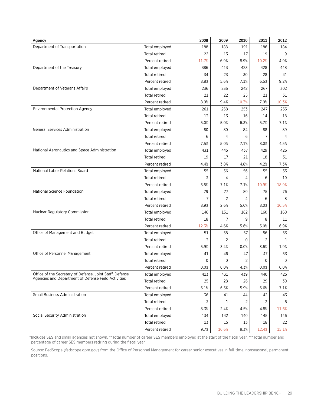| Agency                                                   |                      | 2008           | 2009  | 2010  | 2011  | 2012  |
|----------------------------------------------------------|----------------------|----------------|-------|-------|-------|-------|
| Department of Transportation                             | Total employed       | 188            | 188   | 191   | 186   | 184   |
|                                                          | Total retired        | 22             | 13    | 17    | 19    | 9     |
|                                                          | Percent retired      | 11.7%          | 6.9%  | 8.9%  | 10.2% | 4.9%  |
| Department of the Treasury                               | Total employed       | 386            | 413   | 423   | 428   | 448   |
|                                                          | <b>Total retired</b> | 34             | 23    | 30    | 28    | 41    |
|                                                          | Percent retired      | 8.8%           | 5.6%  | 7.1%  | 6.5%  | 9.2%  |
| Department of Veterans Affairs                           | Total employed       | 236            | 235   | 242   | 267   | 302   |
|                                                          | <b>Total retired</b> | 21             | 22    | 25    | 21    | 31    |
|                                                          | Percent retired      | 8.9%           | 9.4%  | 10.3% | 7.9%  | 10.3% |
| <b>Environmental Protection Agency</b>                   | Total employed       | 261            | 258   | 253   | 247   | 255   |
|                                                          | <b>Total retired</b> | 13             | 13    | 16    | 14    | 18    |
|                                                          | Percent retired      | 5.0%           | 5.0%  | 6.3%  | 5.7%  | 7.1%  |
| General Services Administration                          | Total employed       | 80             | 80    | 84    | 88    | 89    |
|                                                          | <b>Total retired</b> | 6              | 4     | 6     | 7     | 4     |
|                                                          | Percent retired      | 7.5%           | 5.0%  | 7.1%  | 8.0%  | 4.5%  |
| National Aeronautics and Space Administration            | Total employed       | 431            | 445   | 437   | 429   | 426   |
|                                                          | <b>Total retired</b> | 19             | 17    | 21    | 18    | 31    |
|                                                          | Percent retired      | 4.4%           | 3.8%  | 4.8%  | 4.2%  | 7.3%  |
| National Labor Relations Board                           | Total employed       | 55             | 56    | 56    | 55    | 53    |
|                                                          | <b>Total retired</b> | 3              | 4     | 4     | 6     | 10    |
|                                                          | Percent retired      | 5.5%           | 7.1%  | 7.1%  | 10.9% | 18.9% |
| <b>National Science Foundation</b>                       | Total employed       | 79             | 77    | 80    | 75    | 76    |
|                                                          | <b>Total retired</b> | $\overline{7}$ | 2     | 4     | 6     | 8     |
|                                                          | Percent retired      | 8.9%           | 2.6%  | 5.0%  | 8.0%  | 10.5% |
| Nuclear Regulatory Commission                            | Total employed       | 146            | 151   | 162   | 160   | 160   |
|                                                          | <b>Total retired</b> | 18             | 7     | 9     | 8     | 11    |
|                                                          | Percent retired      | 12.3%          | 4.6%  | 5.6%  | 5.0%  | 6.9%  |
| Office of Management and Budget                          | Total employed       | 51             | 58    | 57    | 56    | 53    |
|                                                          | <b>Total retired</b> | 3              | 2     | 0     | 2     | 1     |
|                                                          | Percent retired      | 5.9%           | 3.4%  | 0.0%  | 3.6%  | 1.9%  |
| Office of Personnel Management                           | Total employed       | 41             | 46    | 47    | 47    | 53    |
|                                                          | Total retired        | 0              | 0     | 2     | 0     | 0     |
|                                                          | Percent retired      | 0.0%           | 0.0%  | 4.3%  | 0.0%  | 0.0%  |
| Office of the Secretary of Defense, Joint Staff, Defense | Total employed       | 413            | 431   | 439   | 440   | 425   |
| Agencies and Department of Defense Field Activities      | <b>Total retired</b> | 25             | 28    | 26    | 29    | 30    |
|                                                          | Percent retired      | 6.1%           | 6.5%  | 5.9%  | 6.6%  | 7.1%  |
| <b>Small Business Administration</b>                     | Total employed       | 36             | 41    | 44    | 42    | 43    |
|                                                          | <b>Total retired</b> | 3              | 1     | 2     | 2     | 5     |
|                                                          | Percent retired      | 8.3%           | 2.4%  | 4.5%  | 4.8%  | 11.6% |
| Social Security Administration                           | Total employed       | 134            | 142   | 140   | 145   | 146   |
|                                                          | <b>Total retired</b> | 13             | 15    | 13    | 18    | 22    |
|                                                          | Percent retired      | 9.7%           | 10.6% | 9.3%  | 12.4% | 15.1% |

\*Includes SES and small agencies not shown. \*\*Total number of career SES members employed at the start of the fiscal year. \*\*\*Total number and percentage of career SES members retiring during the fiscal year.

Source: FedScope (fedscope.opm.gov) from the Office of Personnel Management for career senior executives in full-time, nonseasonal, permanent positions.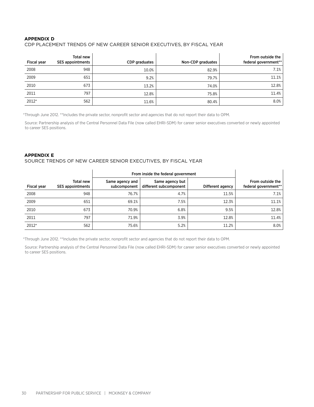#### **Appendix D**

#### CDP Placement Trends of new career senior executives, By fiscal year

| <b>Fiscal year</b> | Total new<br><b>SES appointments</b> | CDP graduates | Non-CDP graduates | From outside the<br>federal government** |
|--------------------|--------------------------------------|---------------|-------------------|------------------------------------------|
| 2008               | 948                                  | 10.0%         | 82.9%             | 7.1%                                     |
| 2009               | 651                                  | 9.2%          | 79.7%             | 11.1%                                    |
| 2010               | 673                                  | 13.2%         | 74.0%             | 12.8%                                    |
| 2011               | 797                                  | 12.8%         | 75.8%             | 11.4%                                    |
| 2012*              | 562                                  | 11.6%         | 80.4%             | 8.0%                                     |

\*Through June 2012. \*\*Includes the private sector, nonprofit sector and agencies that do not report their data to OPM.

Source: Partnership analysis of the Central Personnel Data File (now called EHRI-SDM) for career senior executives converted or newly appointed to career SES positions.

#### **Appendix E**

#### Source trends of new career senior executives, By fiscal year

|                    |                               | From inside the federal government |                                           |                  |                                          |
|--------------------|-------------------------------|------------------------------------|-------------------------------------------|------------------|------------------------------------------|
| <b>Fiscal year</b> | Total new<br>SES appointments | Same agency and<br>subcomponent    | Same agency but<br>different subcomponent | Different agency | From outside the<br>federal government** |
| 2008               | 948                           | 76.7%                              | 4.7%                                      | 11.5%            | 7.1%                                     |
| 2009               | 651                           | 69.1%                              | 7.5%                                      | 12.3%            | 11.1%                                    |
| 2010               | 673                           | 70.9%                              | 6.8%                                      | 9.5%             | 12.8%                                    |
| 2011               | 797                           | 71.9%                              | 3.9%                                      | 12.8%            | 11.4%                                    |
| 2012*              | 562                           | 75.6%                              | 5.2%                                      | 11.2%            | 8.0%                                     |

\*Through June 2012. \*\*Includes the private sector, nonprofit sector and agencies that do not report their data to OPM.

Source: Partnership analysis of the Central Personnel Data File (now called EHRI-SDM) for career senior executives converted or newly appointed to career SES positions.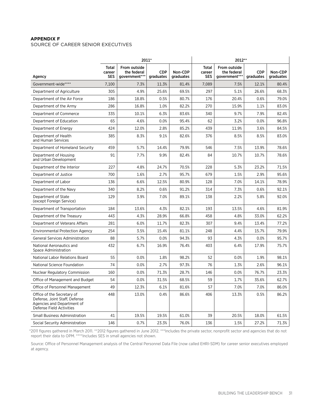#### **Appendix F**

#### SOURCE OF CAREER SENIOR EXECUTIVES

|                                                                                                                       | 2011*                         |                                              |                         |                      | 2012**                               |                                              |                         |                      |
|-----------------------------------------------------------------------------------------------------------------------|-------------------------------|----------------------------------------------|-------------------------|----------------------|--------------------------------------|----------------------------------------------|-------------------------|----------------------|
| Agency                                                                                                                | <b>Total</b><br>career<br>SES | From outside<br>the federal<br>government*** | <b>CDP</b><br>graduates | Non-CDP<br>graduates | <b>Total</b><br>career<br><b>SES</b> | From outside<br>the federal<br>government*** | <b>CDP</b><br>graduates | Non-CDP<br>graduates |
| Government-wide****                                                                                                   | 7,100                         | 7.3%                                         | 11.3%                   | 81.4%                | 7,089                                | 7.5%                                         | 12.1%                   | 80.4%                |
| Department of Agriculture                                                                                             | 305                           | 4.9%                                         | 25.6%                   | 69.5%                | 297                                  | 5.1%                                         | 26.6%                   | 68.3%                |
| Department of the Air Force                                                                                           | 186                           | 18.8%                                        | 0.5%                    | 80.7%                | 176                                  | 20.4%                                        | 0.6%                    | 79.0%                |
| Department of the Army                                                                                                | 286                           | 16.8%                                        | 1.0%                    | 82.2%                | 270                                  | 15.9%                                        | 1.1%                    | 83.0%                |
| Department of Commerce                                                                                                | 335                           | 10.1%                                        | 6.3%                    | 83.6%                | 340                                  | 9.7%                                         | 7.9%                    | 82.4%                |
| Department of Education                                                                                               | 65                            | 4.6%                                         | 0.0%                    | 95.4%                | 62                                   | 3.2%                                         | 0.0%                    | 96.8%                |
| Department of Energy                                                                                                  | 424                           | 12.0%                                        | 2.8%                    | 85.2%                | 439                                  | 11.9%                                        | 3.6%                    | 84.5%                |
| Department of Health<br>and Human Services                                                                            | 385                           | 8.3%                                         | 9.1%                    | 82.6%                | 376                                  | 8.5%                                         | 8.5%                    | 83.0%                |
| Department of Homeland Security                                                                                       | 459                           | 5.7%                                         | 14.4%                   | 79.9%                | 546                                  | 7.5%                                         | 13.9%                   | 78.6%                |
| Department of Housing<br>and Urban Development                                                                        | 91                            | 7.7%                                         | 9.9%                    | 82.4%                | 84                                   | 10.7%                                        | 10.7%                   | 78.6%                |
| Department of the Interior                                                                                            | 227                           | 4.8%                                         | 24.7%                   | 70.5%                | 228                                  | 5.3%                                         | 23.2%                   | 71.5%                |
| Department of Justice                                                                                                 | 700                           | 1.6%                                         | 2.7%                    | 95.7%                | 679                                  | 1.5%                                         | 2.9%                    | 95.6%                |
| Department of Labor                                                                                                   | 136                           | 6.6%                                         | 12.5%                   | 80.9%                | 128                                  | 7.0%                                         | 14.1%                   | 78.9%                |
| Department of the Navy                                                                                                | 340                           | 8.2%                                         | 0.6%                    | 91.2%                | 314                                  | 7.3%                                         | 0.6%                    | 92.1%                |
| Department of State<br>(except Foreign Service)                                                                       | 129                           | 3.9%                                         | 7.0%                    | 89.1%                | 138                                  | 2.2%                                         | 5.8%                    | 92.0%                |
| Department of Transportation                                                                                          | 184                           | 13.6%                                        | 4.3%                    | 82.1%                | 193                                  | 13.5%                                        | 4.6%                    | 81.9%                |
| Department of the Treasury                                                                                            | 443                           | 4.3%                                         | 28.9%                   | 66.8%                | 458                                  | 4.8%                                         | 33.0%                   | 62.2%                |
| Department of Veterans Affairs                                                                                        | 281                           | 6.0%                                         | 11.7%                   | 82.3%                | 307                                  | 9.4%                                         | 13.4%                   | 77.2%                |
| <b>Environmental Protection Agency</b>                                                                                | 254                           | 3.5%                                         | 15.4%                   | 81.1%                | 248                                  | 4.4%                                         | 15.7%                   | 79.9%                |
| General Services Administration                                                                                       | 88                            | 5.7%                                         | 0.0%                    | 94.3%                | 93                                   | 4.3%                                         | 0.0%                    | 95.7%                |
| National Aeronautics and<br>Space Administration                                                                      | 432                           | 6.7%                                         | 16.9%                   | 76.4%                | 403                                  | 6.4%                                         | 17.9%                   | 75.7%                |
| National Labor Relations Board                                                                                        | 55                            | 0.0%                                         | 1.8%                    | 98.2%                | 52                                   | 0.0%                                         | 1.9%                    | 98.1%                |
| National Science Foundation                                                                                           | 74                            | 0.0%                                         | 2.7%                    | 97.3%                | 76                                   | 1.3%                                         | 2.6%                    | 96.1%                |
| <b>Nuclear Regulatory Commission</b>                                                                                  | 160                           | 0.0%                                         | 71.3%                   | 28.7%                | 146                                  | 0.0%                                         | 76.7%                   | 23.3%                |
| Office of Management and Budget                                                                                       | 54                            | 0.0%                                         | 31.5%                   | 68.5%                | 59                                   | 1.7%                                         | 35.6%                   | 62.7%                |
| Office of Personnel Management                                                                                        | 49                            | 12.3%                                        | 6.1%                    | 81.6%                | 57                                   | 7.0%                                         | 7.0%                    | 86.0%                |
| Office of the Secretary of<br>Defense, Joint Staff, Defense<br>Agencies and Department of<br>Defense Field Activities | 448                           | 13.0%                                        | 0.4%                    | 86.6%                | 406                                  | 13.3%                                        | 0.5%                    | 86.2%                |
| <b>Small Business Administration</b>                                                                                  | 41                            | 19.5%                                        | 19.5%                   | 61.0%                | 39                                   | 20.5%                                        | 18.0%                   | 61.5%                |
| Social Security Administration                                                                                        | 146                           | 0.7%                                         | 23.3%                   | 76.0%                | 136                                  | 1.5%                                         | 27.2%                   | 71.3%                |

\*2011 figures gathered in March 2011. \*\*2012 figures gathered in June 2012. \*\*\*Includes the private sector, nonprofit sector and agencies that do not report their data to OPM. \*\*\*\*Includes SES in small agencies not shown.

Source: Office of Personnel Management analysis of the Central Personnel Data File (now called EHRI-SDM) for career senior executives employed at agency.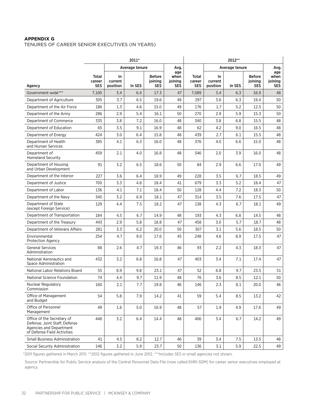#### **Appendix G**

Tenures of career senior executives (in years)

|                                                                                                                       | 2011*                         |                            |                |                                 | 2012**                        |                        |                            |        |                                        |                                      |
|-----------------------------------------------------------------------------------------------------------------------|-------------------------------|----------------------------|----------------|---------------------------------|-------------------------------|------------------------|----------------------------|--------|----------------------------------------|--------------------------------------|
|                                                                                                                       |                               |                            | Average tenure |                                 | Avg.                          |                        | Average tenure             |        |                                        | Avg.                                 |
| Agency                                                                                                                | Total<br>career<br><b>SES</b> | In.<br>current<br>position | In SES         | <b>Before</b><br>joining<br>SES | age<br>when<br>joining<br>SES | Total<br>career<br>SES | In.<br>current<br>position | In SES | <b>Before</b><br>joining<br><b>SES</b> | age<br>when<br>joining<br><b>SES</b> |
| Government-wide***                                                                                                    | 7,100                         | 3.4                        | 6.4            | 17.3                            | 47                            | 7,089                  | 3.4                        | 6.3    | 16.9                                   | 48                                   |
| Department of Agriculture                                                                                             | 305                           | 3.7                        | 6.5            | 19.6                            | 49                            | 297                    | 3.6                        | 6.3    | 19.4                                   | 50                                   |
| Department of the Air Force                                                                                           | 186                           | 1.3                        | 4.8            | 15.0                            | 49                            | 176                    | 1.7                        | 5.2    | 12.5                                   | 50                                   |
| Department of the Army                                                                                                | 286                           | 2.9                        | 5.4            | 16.1                            | 50                            | 270                    | 2.9                        | 5.9    | 15.3                                   | 50                                   |
| Department of Commerce                                                                                                | 335                           | 3.8                        | 7.2            | 16.0                            | 48                            | 340                    | 3.8                        | 6.8    | 15.5                                   | 48                                   |
| Department of Education                                                                                               | 65                            | 3.5                        | 9.1            | 16.9                            | 48                            | 62                     | 4.2                        | 9.0    | 16.5                                   | 48                                   |
| Department of Energy                                                                                                  | 424                           | 3.0                        | 6.4            | 15.8                            | 48                            | 439                    | 2.7                        | 6.1    | 15.5                                   | 48                                   |
| Department of Health<br>and Human Services                                                                            | 385                           | 4.1                        | 6.3            | 16.0                            | 48                            | 376                    | 4.0                        | 6.6    | 15.0                                   | 48                                   |
| Department of<br><b>Homeland Security</b>                                                                             | 459                           | 2.1                        | 4.0            | 16.8                            | 48                            | 546                    | 2.0                        | 3.9    | 16.0                                   | 48                                   |
| Department of Housing<br>and Urban Development                                                                        | 91                            | 3.2                        | 6.5            | 18.6                            | 50                            | 84                     | 2.9                        | 6.6    | 17.0                                   | 49                                   |
| Department of the Interior                                                                                            | 227                           | 3.6                        | 6.4            | 18.9                            | 49                            | 228                    | 3.5                        | 6.7    | 18.5                                   | 49                                   |
| Department of Justice                                                                                                 | 700                           | 3.3                        | 4.8            | 18.4                            | 41                            | 679                    | 3.3                        | 5.2    | 18.4                                   | 47                                   |
| Department of Labor                                                                                                   | 136                           | 4.1                        | 7.1            | 18.4                            | 50                            | 128                    | 4.4                        | 7.2    | 18.3                                   | 50                                   |
| Department of the Navy                                                                                                | 340                           | 3.2                        | 6.9            | 18.1                            | 47                            | 314                    | 3.5                        | 7.6    | 17.5                                   | 47                                   |
| Department of State<br>(except Foreign Service)                                                                       | 129                           | 4.4                        | 7.5            | 18.2                            | 47                            | 138                    | 4.3                        | 6.7    | 18.1                                   | 49                                   |
| Department of Transportation                                                                                          | 184                           | 4.5                        | 6.7            | 14.9                            | 48                            | 193                    | 4.3                        | 6.8    | 14.5                                   | 48                                   |
| Department of the Treasury                                                                                            | 443                           | 2.9                        | 5.8            | 18.8                            | 47                            | 458                    | 3.0                        | 5.7    | 18.7                                   | 48                                   |
| Department of Veterans Affairs                                                                                        | 281                           | 3.3                        | 6.2            | 20.0                            | 50                            | 307                    | 3.1                        | 5.6    | 18.5                                   | 50                                   |
| Environmental<br><b>Protection Agency</b>                                                                             | 254                           | 4.7                        | 9.0            | 17.6                            | 45                            | 248                    | 4.6                        | 8.9    | 17.5                                   | 47                                   |
| <b>General Services</b><br>Administration                                                                             | 88                            | 2.6                        | 4.7            | 19.3                            | 46                            | 93                     | 2.2                        | 4.3    | 18.3                                   | 47                                   |
| National Aeronautics and<br>Space Administration                                                                      | 432                           | 3.2                        | 6.8            | 16.8                            | 47                            | 403                    | 3.4                        | 7.1    | 17.4                                   | 47                                   |
| National Labor Relations Board                                                                                        | 55                            | 8.9                        | 9.8            | 23.1                            | 47                            | 52                     | 6.8                        | 9.7    | 23.5                                   | 51                                   |
| National Science Foundation                                                                                           | 74                            | 4.4                        | 9.7            | 11.9                            | 48                            | 76                     | 3.6                        | 8.5    | 12.1                                   | 50                                   |
| Nuclear Regulatory<br>Commission                                                                                      | 160                           | 2.1                        | 7.7            | 19.8                            | 46                            | 146                    | 2.3                        | 8.1    | 20.0                                   | 46                                   |
| Office of Management<br>and Budget                                                                                    | 54                            | 5.8                        | 7.9            | 14.2                            | 41                            | 59                     | 5.4                        | 8.5    | 13.2                                   | 42                                   |
| Office of Personnel<br>Management                                                                                     | 49                            | 1.6                        | 5.0            | 16.9                            | 48                            | 57                     | 1.9                        | 4.9    | 17.6                                   | 49                                   |
| Office of the Secretary of<br>Defense. Joint Staff. Defense<br>Agencies and Department<br>of Defense Field Activities | 448                           | 3.2                        | 6.4            | 14.4                            | 48                            | 406                    | 3.4                        | 6.7    | 14.2                                   | 49                                   |
| <b>Small Business Administration</b>                                                                                  | 41                            | 4.5                        | 8.2            | 12.7                            | 46                            | 39                     | 3.4                        | 7.5    | 13.5                                   | 48                                   |
| Social Security Administration                                                                                        | 146                           | 3.2                        | 5.9            | 23.7                            | 50                            | 136                    | 3.1                        | 5.9    | 22.5                                   | 49                                   |

\*2011 figures gathered in March 2011. \*\*2012 figures gathered in June 2012. \*\*\*Includes SES in small agencies not shown.

Source: Partnership for Public Service analysis of the Central Personnel Data File (now called EHRI-SDM) for career senior executives employed at agency.